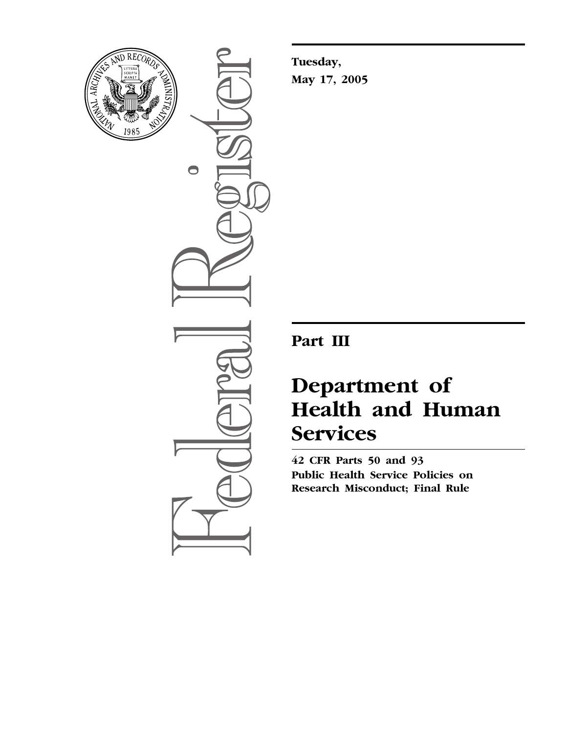

 $\bullet$ 

**Tuesday, May 17, 2005** 

**Part III** 

# **Department of Health and Human Services**

**42 CFR Parts 50 and 93 Public Health Service Policies on Research Misconduct; Final Rule**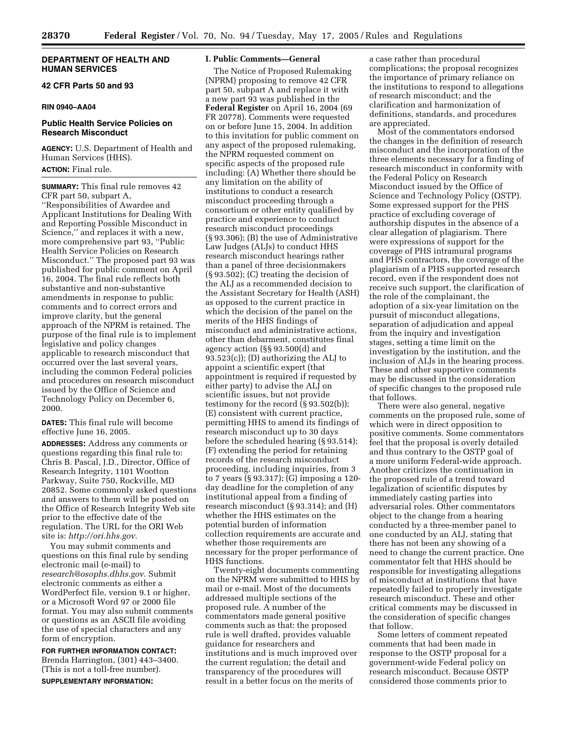## **DEPARTMENT OF HEALTH AND HUMAN SERVICES**

# **42 CFR Parts 50 and 93**

## **RIN 0940–AA04**

## **Public Health Service Policies on Research Misconduct**

**AGENCY:** U.S. Department of Health and Human Services (HHS).

**ACTION:** Final rule.

**SUMMARY:** This final rule removes 42 CFR part 50, subpart A, ''Responsibilities of Awardee and Applicant Institutions for Dealing With and Reporting Possible Misconduct in Science,'' and replaces it with a new, more comprehensive part 93, ''Public Health Service Policies on Research Misconduct.'' The proposed part 93 was published for public comment on April 16, 2004. The final rule reflects both substantive and non-substantive amendments in response to public comments and to correct errors and improve clarity, but the general approach of the NPRM is retained. The purpose of the final rule is to implement legislative and policy changes applicable to research misconduct that occurred over the last several years, including the common Federal policies and procedures on research misconduct issued by the Office of Science and Technology Policy on December 6, 2000.

**DATES:** This final rule will become effective June 16, 2005.

**ADDRESSES:** Address any comments or questions regarding this final rule to: Chris B. Pascal, J.D., Director, Office of Research Integrity, 1101 Wootton Parkway, Suite 750, Rockville, MD 20852. Some commonly asked questions and answers to them will be posted on the Office of Research Integrity Web site prior to the effective date of the regulation. The URL for the ORI Web site is: *http://ori.hhs.gov*.

You may submit comments and questions on this final rule by sending electronic mail (e-mail) to *research@osophs.dhhs.gov*. Submit electronic comments as either a WordPerfect file, version 9.1 or higher, or a Microsoft Word 97 or 2000 file format. You may also submit comments or questions as an ASCII file avoiding the use of special characters and any form of encryption.

**FOR FURTHER INFORMATION CONTACT:**  Brenda Harrington, (301) 443–3400. (This is not a toll-free number).

**SUPPLEMENTARY INFORMATION:** 

#### **I. Public Comments—General**

The Notice of Proposed Rulemaking (NPRM) proposing to remove 42 CFR part 50, subpart A and replace it with a new part 93 was published in the **Federal Register** on April 16, 2004 (69 FR 20778). Comments were requested on or before June 15, 2004. In addition to this invitation for public comment on any aspect of the proposed rulemaking, the NPRM requested comment on specific aspects of the proposed rule including: (A) Whether there should be any limitation on the ability of institutions to conduct a research misconduct proceeding through a consortium or other entity qualified by practice and experience to conduct research misconduct proceedings (§ 93.306); (B) the use of Administrative Law Judges (ALJs) to conduct HHS research misconduct hearings rather than a panel of three decisionmakers (§ 93.502); (C) treating the decision of the ALJ as a recommended decision to the Assistant Secretary for Health (ASH) as opposed to the current practice in which the decision of the panel on the merits of the HHS findings of misconduct and administrative actions, other than debarment, constitutes final agency action (§§ 93.500(d) and 93.523(c)); (D) authorizing the ALJ to appoint a scientific expert (that appointment is required if requested by either party) to advise the ALJ on scientific issues, but not provide testimony for the record (§ 93.502(b)); (E) consistent with current practice, permitting HHS to amend its findings of research misconduct up to 30 days before the scheduled hearing (§ 93.514); (F) extending the period for retaining records of the research misconduct proceeding, including inquiries, from 3 to 7 years (§ 93.317); (G) imposing a 120 day deadline for the completion of any institutional appeal from a finding of research misconduct (§ 93.314); and (H) whether the HHS estimates on the potential burden of information collection requirements are accurate and whether those requirements are necessary for the proper performance of HHS functions.

Twenty-eight documents commenting on the NPRM were submitted to HHS by mail or e-mail. Most of the documents addressed multiple sections of the proposed rule. A number of the commentators made general positive comments such as that: the proposed rule is well drafted, provides valuable guidance for researchers and institutions and is much improved over the current regulation; the detail and transparency of the procedures will result in a better focus on the merits of

a case rather than procedural complications; the proposal recognizes the importance of primary reliance on the institutions to respond to allegations of research misconduct; and the clarification and harmonization of definitions, standards, and procedures are appreciated.

Most of the commentators endorsed the changes in the definition of research misconduct and the incorporation of the three elements necessary for a finding of research misconduct in conformity with the Federal Policy on Research Misconduct issued by the Office of Science and Technology Policy (OSTP). Some expressed support for the PHS practice of excluding coverage of authorship disputes in the absence of a clear allegation of plagiarism. There were expressions of support for the coverage of PHS intramural programs and PHS contractors, the coverage of the plagiarism of a PHS supported research record, even if the respondent does not receive such support, the clarification of the role of the complainant, the adoption of a six-year limitation on the pursuit of misconduct allegations, separation of adjudication and appeal from the inquiry and investigation stages, setting a time limit on the investigation by the institution, and the inclusion of ALJs in the hearing process. These and other supportive comments may be discussed in the consideration of specific changes to the proposed rule that follows.

There were also general, negative comments on the proposed rule, some of which were in direct opposition to positive comments. Some commentators feel that the proposal is overly detailed and thus contrary to the OSTP goal of a more uniform Federal-wide approach. Another criticizes the continuation in the proposed rule of a trend toward legalization of scientific disputes by immediately casting parties into adversarial roles. Other commentators object to the change from a hearing conducted by a three-member panel to one conducted by an ALJ, stating that there has not been any showing of a need to change the current practice. One commentator felt that HHS should be responsible for investigating allegations of misconduct at institutions that have repeatedly failed to properly investigate research misconduct. These and other critical comments may be discussed in the consideration of specific changes that follow.

Some letters of comment repeated comments that had been made in response to the OSTP proposal for a government-wide Federal policy on research misconduct. Because OSTP considered those comments prior to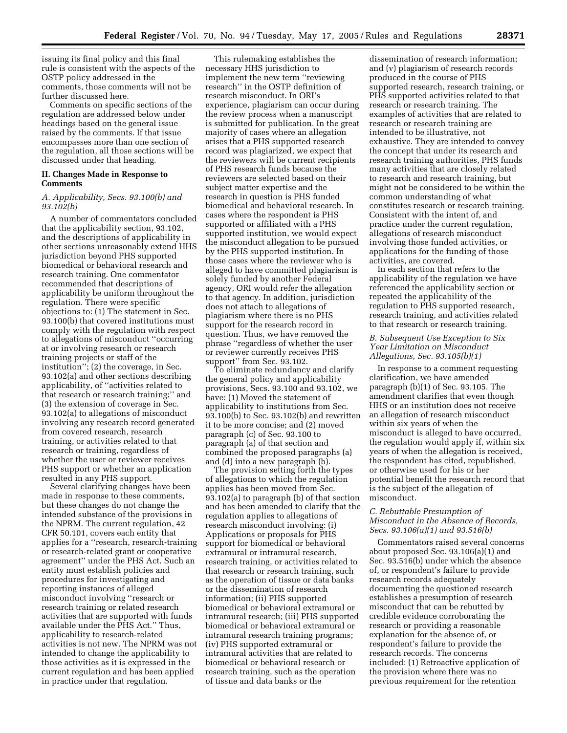issuing its final policy and this final rule is consistent with the aspects of the OSTP policy addressed in the comments, those comments will not be further discussed here.

Comments on specific sections of the regulation are addressed below under headings based on the general issue raised by the comments. If that issue encompasses more than one section of the regulation, all those sections will be discussed under that heading.

## **II. Changes Made in Response to Comments**

# *A. Applicability, Secs. 93.100(b) and 93.102(b)*

A number of commentators concluded that the applicability section, 93.102, and the descriptions of applicability in other sections unreasonably extend HHS jurisdiction beyond PHS supported biomedical or behavioral research and research training. One commentator recommended that descriptions of applicability be uniform throughout the regulation. There were specific objections to: (1) The statement in Sec. 93.100(b) that covered institutions must comply with the regulation with respect to allegations of misconduct ''occurring at or involving research or research training projects or staff of the institution''; (2) the coverage, in Sec. 93.102(a) and other sections describing applicability, of ''activities related to that research or research training;'' and (3) the extension of coverage in Sec. 93.102(a) to allegations of misconduct involving any research record generated from covered research, research training, or activities related to that research or training, regardless of whether the user or reviewer receives PHS support or whether an application resulted in any PHS support.

Several clarifying changes have been made in response to these comments, but these changes do not change the intended substance of the provisions in the NPRM. The current regulation, 42 CFR 50.101, covers each entity that applies for a ''research, research-training or research-related grant or cooperative agreement'' under the PHS Act. Such an entity must establish policies and procedures for investigating and reporting instances of alleged misconduct involving ''research or research training or related research activities that are supported with funds available under the PHS Act.'' Thus, applicability to research-related activities is not new. The NPRM was not intended to change the applicability to those activities as it is expressed in the current regulation and has been applied in practice under that regulation.

This rulemaking establishes the necessary HHS jurisdiction to implement the new term ''reviewing research'' in the OSTP definition of research misconduct. In ORI's experience, plagiarism can occur during the review process when a manuscript is submitted for publication. In the great majority of cases where an allegation arises that a PHS supported research record was plagiarized, we expect that the reviewers will be current recipients of PHS research funds because the reviewers are selected based on their subject matter expertise and the research in question is PHS funded biomedical and behavioral research. In cases where the respondent is PHS supported or affiliated with a PHS supported institution, we would expect the misconduct allegation to be pursued by the PHS supported institution. In those cases where the reviewer who is alleged to have committed plagiarism is solely funded by another Federal agency, ORI would refer the allegation to that agency. In addition, jurisdiction does not attach to allegations of plagiarism where there is no PHS support for the research record in question. Thus, we have removed the phrase ''regardless of whether the user or reviewer currently receives PHS support'' from Sec. 93.102.

To eliminate redundancy and clarify the general policy and applicability provisions, Secs. 93.100 and 93.102, we have: (1) Moved the statement of applicability to institutions from Sec. 93.100(b) to Sec. 93.102(b) and rewritten it to be more concise; and (2) moved paragraph (c) of Sec. 93.100 to paragraph (a) of that section and combined the proposed paragraphs (a) and (d) into a new paragraph (b).

The provision setting forth the types of allegations to which the regulation applies has been moved from Sec. 93.102(a) to paragraph (b) of that section and has been amended to clarify that the regulation applies to allegations of research misconduct involving: (i) Applications or proposals for PHS support for biomedical or behavioral extramural or intramural research, research training, or activities related to that research or research training, such as the operation of tissue or data banks or the dissemination of research information; (ii) PHS supported biomedical or behavioral extramural or intramural research; (iii) PHS supported biomedical or behavioral extramural or intramural research training programs; (iv) PHS supported extramural or intramural activities that are related to biomedical or behavioral research or research training, such as the operation of tissue and data banks or the

dissemination of research information; and (v) plagiarism of research records produced in the course of PHS supported research, research training, or PHS supported activities related to that research or research training. The examples of activities that are related to research or research training are intended to be illustrative, not exhaustive. They are intended to convey the concept that under its research and research training authorities, PHS funds many activities that are closely related to research and research training, but might not be considered to be within the common understanding of what constitutes research or research training. Consistent with the intent of, and practice under the current regulation, allegations of research misconduct involving those funded activities, or applications for the funding of those activities, are covered.

In each section that refers to the applicability of the regulation we have referenced the applicability section or repeated the applicability of the regulation to PHS supported research, research training, and activities related to that research or research training.

## *B. Subsequent Use Exception to Six Year Limitation on Misconduct Allegations, Sec. 93.105(b)(1)*

In response to a comment requesting clarification, we have amended paragraph (b)(1) of Sec. 93.105. The amendment clarifies that even though HHS or an institution does not receive an allegation of research misconduct within six years of when the misconduct is alleged to have occurred, the regulation would apply if, within six years of when the allegation is received, the respondent has cited, republished, or otherwise used for his or her potential benefit the research record that is the subject of the allegation of misconduct.

# *C. Rebuttable Presumption of Misconduct in the Absence of Records, Secs. 93.106(a)(1) and 93.516(b)*

Commentators raised several concerns about proposed Sec. 93.106(a)(1) and Sec. 93.516(b) under which the absence of, or respondent's failure to provide research records adequately documenting the questioned research establishes a presumption of research misconduct that can be rebutted by credible evidence corroborating the research or providing a reasonable explanation for the absence of, or respondent's failure to provide the research records. The concerns included: (1) Retroactive application of the provision where there was no previous requirement for the retention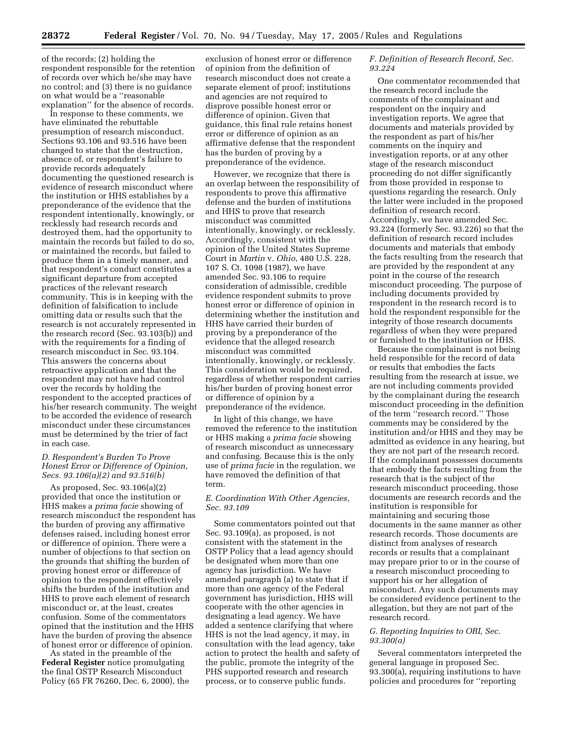of the records; (2) holding the respondent responsible for the retention of records over which he/she may have no control; and (3) there is no guidance on what would be a ''reasonable explanation'' for the absence of records.

In response to these comments, we have eliminated the rebuttable presumption of research misconduct. Sections 93.106 and 93.516 have been changed to state that the destruction, absence of, or respondent's failure to provide records adequately documenting the questioned research is evidence of research misconduct where the institution or HHS establishes by a preponderance of the evidence that the respondent intentionally, knowingly, or recklessly had research records and destroyed them, had the opportunity to maintain the records but failed to do so, or maintained the records, but failed to produce them in a timely manner, and that respondent's conduct constitutes a significant departure from accepted practices of the relevant research community. This is in keeping with the definition of falsification to include omitting data or results such that the research is not accurately represented in the research record (Sec. 93.103(b)) and with the requirements for a finding of research misconduct in Sec. 93.104. This answers the concerns about retroactive application and that the respondent may not have had control over the records by holding the respondent to the accepted practices of his/her research community. The weight to be accorded the evidence of research misconduct under these circumstances must be determined by the trier of fact in each case.

# *D. Respondent's Burden To Prove Honest Error or Difference of Opinion, Secs. 93.106(a)(2) and 93.516(b)*

As proposed, Sec. 93.106(a)(2) provided that once the institution or HHS makes a *prima facie* showing of research misconduct the respondent has the burden of proving any affirmative defenses raised, including honest error or difference of opinion. There were a number of objections to that section on the grounds that shifting the burden of proving honest error or difference of opinion to the respondent effectively shifts the burden of the institution and HHS to prove each element of research misconduct or, at the least, creates confusion. Some of the commentators opined that the institution and the HHS have the burden of proving the absence of honest error or difference of opinion.

As stated in the preamble of the **Federal Register** notice promulgating the final OSTP Research Misconduct Policy (65 FR 76260, Dec. 6, 2000), the

exclusion of honest error or difference of opinion from the definition of research misconduct does not create a separate element of proof; institutions and agencies are not required to disprove possible honest error or difference of opinion. Given that guidance, this final rule retains honest error or difference of opinion as an affirmative defense that the respondent has the burden of proving by a preponderance of the evidence.

However, we recognize that there is an overlap between the responsibility of respondents to prove this affirmative defense and the burden of institutions and HHS to prove that research misconduct was committed intentionally, knowingly, or recklessly. Accordingly, consistent with the opinion of the United States Supreme Court in *Martin* v. *Ohio*, 480 U.S. 228, 107 S. Ct. 1098 (1987), we have amended Sec. 93.106 to require consideration of admissible, credible evidence respondent submits to prove honest error or difference of opinion in determining whether the institution and HHS have carried their burden of proving by a preponderance of the evidence that the alleged research misconduct was committed intentionally, knowingly, or recklessly. This consideration would be required, regardless of whether respondent carries his/her burden of proving honest error or difference of opinion by a preponderance of the evidence.

In light of this change, we have removed the reference to the institution or HHS making a *prima facie* showing of research misconduct as unnecessary and confusing. Because this is the only use of *prima facie* in the regulation, we have removed the definition of that term.

# *E. Coordination With Other Agencies, Sec. 93.109*

Some commentators pointed out that Sec. 93.109(a), as proposed, is not consistent with the statement in the OSTP Policy that a lead agency should be designated when more than one agency has jurisdiction. We have amended paragraph (a) to state that if more than one agency of the Federal government has jurisdiction, HHS will cooperate with the other agencies in designating a lead agency. We have added a sentence clarifying that where HHS is not the lead agency, it may, in consultation with the lead agency, take action to protect the health and safety of the public, promote the integrity of the PHS supported research and research process, or to conserve public funds.

# *F. Definition of Research Record, Sec. 93.224*

One commentator recommended that the research record include the comments of the complainant and respondent on the inquiry and investigation reports. We agree that documents and materials provided by the respondent as part of his/her comments on the inquiry and investigation reports, or at any other stage of the research misconduct proceeding do not differ significantly from those provided in response to questions regarding the research. Only the latter were included in the proposed definition of research record. Accordingly, we have amended Sec. 93.224 (formerly Sec. 93.226) so that the definition of research record includes documents and materials that embody the facts resulting from the research that are provided by the respondent at any point in the course of the research misconduct proceeding. The purpose of including documents provided by respondent in the research record is to hold the respondent responsible for the integrity of those research documents regardless of when they were prepared or furnished to the institution or HHS.

Because the complainant is not being held responsible for the record of data or results that embodies the facts resulting from the research at issue, we are not including comments provided by the complainant during the research misconduct proceeding in the definition of the term ''research record.'' Those comments may be considered by the institution and/or HHS and they may be admitted as evidence in any hearing, but they are not part of the research record. If the complainant possesses documents that embody the facts resulting from the research that is the subject of the research misconduct proceeding, those documents are research records and the institution is responsible for maintaining and securing those documents in the same manner as other research records. Those documents are distinct from analyses of research records or results that a complainant may prepare prior to or in the course of a research misconduct proceeding to support his or her allegation of misconduct. Any such documents may be considered evidence pertinent to the allegation, but they are not part of the research record.

# *G. Reporting Inquiries to ORI, Sec. 93.300(a)*

Several commentators interpreted the general language in proposed Sec. 93.300(a), requiring institutions to have policies and procedures for ''reporting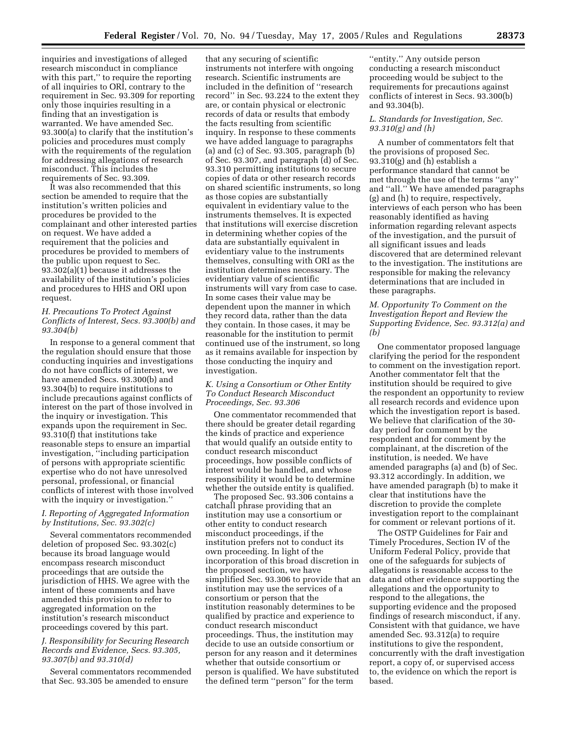inquiries and investigations of alleged research misconduct in compliance with this part," to require the reporting of all inquiries to ORI, contrary to the requirement in Sec. 93.309 for reporting only those inquiries resulting in a finding that an investigation is warranted. We have amended Sec. 93.300(a) to clarify that the institution's policies and procedures must comply with the requirements of the regulation for addressing allegations of research misconduct. This includes the requirements of Sec. 93.309.

It was also recommended that this section be amended to require that the institution's written policies and procedures be provided to the complainant and other interested parties on request. We have added a requirement that the policies and procedures be provided to members of the public upon request to Sec. 93.302(a)(1) because it addresses the availability of the institution's policies and procedures to HHS and ORI upon request.

## *H. Precautions To Protect Against Conflicts of Interest, Secs. 93.300(b) and 93.304(b)*

In response to a general comment that the regulation should ensure that those conducting inquiries and investigations do not have conflicts of interest, we have amended Secs. 93.300(b) and 93.304(b) to require institutions to include precautions against conflicts of interest on the part of those involved in the inquiry or investigation. This expands upon the requirement in Sec. 93.310(f) that institutions take reasonable steps to ensure an impartial investigation, ''including participation of persons with appropriate scientific expertise who do not have unresolved personal, professional, or financial conflicts of interest with those involved with the inquiry or investigation.''

# *I. Reporting of Aggregated Information by Institutions, Sec. 93.302(c)*

Several commentators recommended deletion of proposed Sec. 93.302(c) because its broad language would encompass research misconduct proceedings that are outside the jurisdiction of HHS. We agree with the intent of these comments and have amended this provision to refer to aggregated information on the institution's research misconduct proceedings covered by this part.

## *J. Responsibility for Securing Research Records and Evidence, Secs. 93.305, 93.307(b) and 93.310(d)*

Several commentators recommended that Sec. 93.305 be amended to ensure

that any securing of scientific instruments not interfere with ongoing research. Scientific instruments are included in the definition of ''research record'' in Sec. 93.224 to the extent they are, or contain physical or electronic records of data or results that embody the facts resulting from scientific inquiry. In response to these comments we have added language to paragraphs (a) and (c) of Sec. 93.305, paragraph (b) of Sec. 93.307, and paragraph (d) of Sec. 93.310 permitting institutions to secure copies of data or other research records on shared scientific instruments, so long as those copies are substantially equivalent in evidentiary value to the instruments themselves. It is expected that institutions will exercise discretion in determining whether copies of the data are substantially equivalent in evidentiary value to the instruments themselves, consulting with ORI as the institution determines necessary. The evidentiary value of scientific instruments will vary from case to case. In some cases their value may be dependent upon the manner in which they record data, rather than the data they contain. In those cases, it may be reasonable for the institution to permit continued use of the instrument, so long as it remains available for inspection by those conducting the inquiry and investigation.

## *K. Using a Consortium or Other Entity To Conduct Research Misconduct Proceedings, Sec. 93.306*

One commentator recommended that there should be greater detail regarding the kinds of practice and experience that would qualify an outside entity to conduct research misconduct proceedings, how possible conflicts of interest would be handled, and whose responsibility it would be to determine whether the outside entity is qualified.

The proposed Sec. 93.306 contains a catchall phrase providing that an institution may use a consortium or other entity to conduct research misconduct proceedings, if the institution prefers not to conduct its own proceeding. In light of the incorporation of this broad discretion in the proposed section, we have simplified Sec. 93.306 to provide that an institution may use the services of a consortium or person that the institution reasonably determines to be qualified by practice and experience to conduct research misconduct proceedings. Thus, the institution may decide to use an outside consortium or person for any reason and it determines whether that outside consortium or person is qualified. We have substituted the defined term ''person'' for the term

''entity.'' Any outside person conducting a research misconduct proceeding would be subject to the requirements for precautions against conflicts of interest in Secs. 93.300(b) and 93.304(b).

# *L. Standards for Investigation, Sec. 93.310(g) and (h)*

A number of commentators felt that the provisions of proposed Sec. 93.310(g) and (h) establish a performance standard that cannot be met through the use of the terms ''any'' and ''all.'' We have amended paragraphs (g) and (h) to require, respectively, interviews of each person who has been reasonably identified as having information regarding relevant aspects of the investigation, and the pursuit of all significant issues and leads discovered that are determined relevant to the investigation. The institutions are responsible for making the relevancy determinations that are included in these paragraphs.

# *M. Opportunity To Comment on the Investigation Report and Review the Supporting Evidence, Sec. 93.312(a) and (b)*

One commentator proposed language clarifying the period for the respondent to comment on the investigation report. Another commentator felt that the institution should be required to give the respondent an opportunity to review all research records and evidence upon which the investigation report is based. We believe that clarification of the 30 day period for comment by the respondent and for comment by the complainant, at the discretion of the institution, is needed. We have amended paragraphs (a) and (b) of Sec. 93.312 accordingly. In addition, we have amended paragraph (b) to make it clear that institutions have the discretion to provide the complete investigation report to the complainant for comment or relevant portions of it.

The OSTP Guidelines for Fair and Timely Procedures, Section IV of the Uniform Federal Policy, provide that one of the safeguards for subjects of allegations is reasonable access to the data and other evidence supporting the allegations and the opportunity to respond to the allegations, the supporting evidence and the proposed findings of research misconduct, if any. Consistent with that guidance, we have amended Sec. 93.312(a) to require institutions to give the respondent, concurrently with the draft investigation report, a copy of, or supervised access to, the evidence on which the report is based.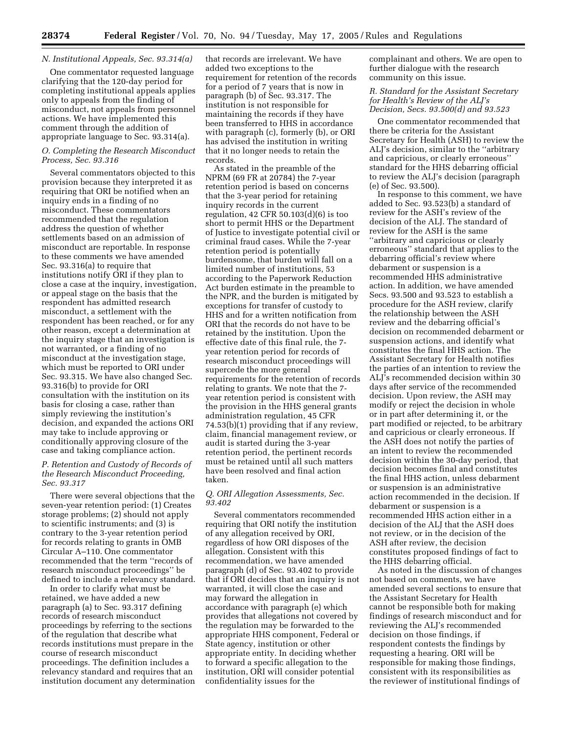# *N. Institutional Appeals, Sec. 93.314(a)*

One commentator requested language clarifying that the 120-day period for completing institutional appeals applies only to appeals from the finding of misconduct, not appeals from personnel actions. We have implemented this comment through the addition of appropriate language to Sec. 93.314(a).

## *O. Completing the Research Misconduct Process, Sec. 93.316*

Several commentators objected to this provision because they interpreted it as requiring that ORI be notified when an inquiry ends in a finding of no misconduct. These commentators recommended that the regulation address the question of whether settlements based on an admission of misconduct are reportable. In response to these comments we have amended Sec. 93.316(a) to require that institutions notify ORI if they plan to close a case at the inquiry, investigation, or appeal stage on the basis that the respondent has admitted research misconduct, a settlement with the respondent has been reached, or for any other reason, except a determination at the inquiry stage that an investigation is not warranted, or a finding of no misconduct at the investigation stage, which must be reported to ORI under Sec. 93.315. We have also changed Sec. 93.316(b) to provide for ORI consultation with the institution on its basis for closing a case, rather than simply reviewing the institution's decision, and expanded the actions ORI may take to include approving or conditionally approving closure of the case and taking compliance action.

# *P. Retention and Custody of Records of the Research Misconduct Proceeding, Sec. 93.317*

There were several objections that the seven-year retention period: (1) Creates storage problems; (2) should not apply to scientific instruments; and (3) is contrary to the 3-year retention period for records relating to grants in OMB Circular A–110. One commentator recommended that the term ''records of research misconduct proceedings'' be defined to include a relevancy standard.

In order to clarify what must be retained, we have added a new paragraph (a) to Sec. 93.317 defining records of research misconduct proceedings by referring to the sections of the regulation that describe what records institutions must prepare in the course of research misconduct proceedings. The definition includes a relevancy standard and requires that an institution document any determination

that records are irrelevant. We have added two exceptions to the requirement for retention of the records for a period of 7 years that is now in paragraph (b) of Sec. 93.317. The institution is not responsible for maintaining the records if they have been transferred to HHS in accordance with paragraph (c), formerly (b), or ORI has advised the institution in writing that it no longer needs to retain the records.

As stated in the preamble of the NPRM (69 FR at 20784) the 7-year retention period is based on concerns that the 3-year period for retaining inquiry records in the current regulation, 42 CFR 50.103(d)(6) is too short to permit HHS or the Department of Justice to investigate potential civil or criminal fraud cases. While the 7-year retention period is potentially burdensome, that burden will fall on a limited number of institutions, 53 according to the Paperwork Reduction Act burden estimate in the preamble to the NPR, and the burden is mitigated by exceptions for transfer of custody to HHS and for a written notification from ORI that the records do not have to be retained by the institution. Upon the effective date of this final rule, the 7 year retention period for records of research misconduct proceedings will supercede the more general requirements for the retention of records relating to grants. We note that the 7 year retention period is consistent with the provision in the HHS general grants administration regulation, 45 CFR 74.53(b)(1) providing that if any review, claim, financial management review, or audit is started during the 3-year retention period, the pertinent records must be retained until all such matters have been resolved and final action taken.

# *Q. ORI Allegation Assessments, Sec. 93.402*

Several commentators recommended requiring that ORI notify the institution of any allegation received by ORI, regardless of how ORI disposes of the allegation. Consistent with this recommendation, we have amended paragraph (d) of Sec. 93.402 to provide that if ORI decides that an inquiry is not warranted, it will close the case and may forward the allegation in accordance with paragraph (e) which provides that allegations not covered by the regulation may be forwarded to the appropriate HHS component, Federal or State agency, institution or other appropriate entity. In deciding whether to forward a specific allegation to the institution, ORI will consider potential confidentiality issues for the

complainant and others. We are open to further dialogue with the research community on this issue.

# *R. Standard for the Assistant Secretary for Health's Review of the ALJ's Decision, Secs. 93.500(d) and 93.523*

One commentator recommended that there be criteria for the Assistant Secretary for Health (ASH) to review the ALJ's decision, similar to the ''arbitrary and capricious, or clearly erroneous'' standard for the HHS debarring official to review the ALJ's decision (paragraph (e) of Sec. 93.500).

In response to this comment, we have added to Sec. 93.523(b) a standard of review for the ASH's review of the decision of the ALJ. The standard of review for the ASH is the same ''arbitrary and capricious or clearly erroneous'' standard that applies to the debarring official's review where debarment or suspension is a recommended HHS administrative action. In addition, we have amended Secs. 93.500 and 93.523 to establish a procedure for the ASH review, clarify the relationship between the ASH review and the debarring official's decision on recommended debarment or suspension actions, and identify what constitutes the final HHS action. The Assistant Secretary for Health notifies the parties of an intention to review the ALJ's recommended decision within 30 days after service of the recommended decision. Upon review, the ASH may modify or reject the decision in whole or in part after determining it, or the part modified or rejected, to be arbitrary and capricious or clearly erroneous. If the ASH does not notify the parties of an intent to review the recommended decision within the 30-day period, that decision becomes final and constitutes the final HHS action, unless debarment or suspension is an administrative action recommended in the decision. If debarment or suspension is a recommended HHS action either in a decision of the ALJ that the ASH does not review, or in the decision of the ASH after review, the decision constitutes proposed findings of fact to the HHS debarring official.

As noted in the discussion of changes not based on comments, we have amended several sections to ensure that the Assistant Secretary for Health cannot be responsible both for making findings of research misconduct and for reviewing the ALJ's recommended decision on those findings, if respondent contests the findings by requesting a hearing. ORI will be responsible for making those findings, consistent with its responsibilities as the reviewer of institutional findings of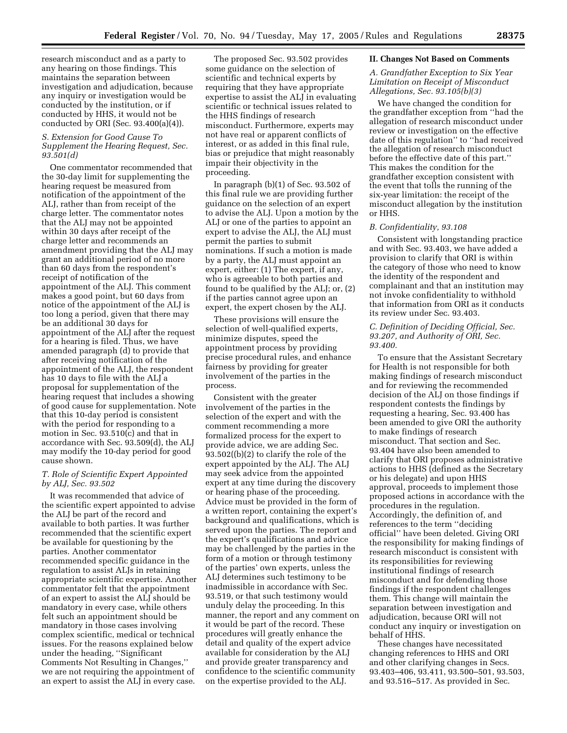research misconduct and as a party to any hearing on those findings. This maintains the separation between investigation and adjudication, because any inquiry or investigation would be conducted by the institution, or if conducted by HHS, it would not be conducted by ORI (Sec. 93.400(a)(4)).

# *S. Extension for Good Cause To Supplement the Hearing Request, Sec. 93.501(d)*

One commentator recommended that the 30-day limit for supplementing the hearing request be measured from notification of the appointment of the ALJ, rather than from receipt of the charge letter. The commentator notes that the ALJ may not be appointed within 30 days after receipt of the charge letter and recommends an amendment providing that the ALJ may grant an additional period of no more than 60 days from the respondent's receipt of notification of the appointment of the ALJ. This comment makes a good point, but 60 days from notice of the appointment of the ALJ is too long a period, given that there may be an additional 30 days for appointment of the ALJ after the request for a hearing is filed. Thus, we have amended paragraph (d) to provide that after receiving notification of the appointment of the ALJ, the respondent has 10 days to file with the ALJ a proposal for supplementation of the hearing request that includes a showing of good cause for supplementation. Note that this 10-day period is consistent with the period for responding to a motion in Sec. 93.510(c) and that in accordance with Sec. 93.509(d), the ALJ may modify the 10-day period for good cause shown.

# *T. Role of Scientific Expert Appointed by ALJ, Sec. 93.502*

It was recommended that advice of the scientific expert appointed to advise the ALJ be part of the record and available to both parties. It was further recommended that the scientific expert be available for questioning by the parties. Another commentator recommended specific guidance in the regulation to assist ALJs in retaining appropriate scientific expertise. Another commentator felt that the appointment of an expert to assist the ALJ should be mandatory in every case, while others felt such an appointment should be mandatory in those cases involving complex scientific, medical or technical issues. For the reasons explained below under the heading, ''Significant Comments Not Resulting in Changes,'' we are not requiring the appointment of an expert to assist the ALJ in every case.

The proposed Sec. 93.502 provides some guidance on the selection of scientific and technical experts by requiring that they have appropriate expertise to assist the ALJ in evaluating scientific or technical issues related to the HHS findings of research misconduct. Furthermore, experts may not have real or apparent conflicts of interest, or as added in this final rule, bias or prejudice that might reasonably impair their objectivity in the proceeding.

In paragraph (b)(1) of Sec. 93.502 of this final rule we are providing further guidance on the selection of an expert to advise the ALJ. Upon a motion by the ALJ or one of the parties to appoint an expert to advise the ALJ, the ALJ must permit the parties to submit nominations. If such a motion is made by a party, the ALJ must appoint an expert, either: (1) The expert, if any, who is agreeable to both parties and found to be qualified by the ALJ; or, (2) if the parties cannot agree upon an expert, the expert chosen by the ALJ.

These provisions will ensure the selection of well-qualified experts, minimize disputes, speed the appointment process by providing precise procedural rules, and enhance fairness by providing for greater involvement of the parties in the process.

Consistent with the greater involvement of the parties in the selection of the expert and with the comment recommending a more formalized process for the expert to provide advice, we are adding Sec. 93.502((b)(2) to clarify the role of the expert appointed by the ALJ. The ALJ may seek advice from the appointed expert at any time during the discovery or hearing phase of the proceeding. Advice must be provided in the form of a written report, containing the expert's background and qualifications, which is served upon the parties. The report and the expert's qualifications and advice may be challenged by the parties in the form of a motion or through testimony of the parties' own experts, unless the ALJ determines such testimony to be inadmissible in accordance with Sec. 93.519, or that such testimony would unduly delay the proceeding. In this manner, the report and any comment on it would be part of the record. These procedures will greatly enhance the detail and quality of the expert advice available for consideration by the ALJ and provide greater transparency and confidence to the scientific community on the expertise provided to the ALJ.

#### **II. Changes Not Based on Comments**

## *A. Grandfather Exception to Six Year Limitation on Receipt of Misconduct Allegations, Sec. 93.105(b)(3)*

We have changed the condition for the grandfather exception from ''had the allegation of research misconduct under review or investigation on the effective date of this regulation'' to ''had received the allegation of research misconduct before the effective date of this part.'' This makes the condition for the grandfather exception consistent with the event that tolls the running of the six-year limitation: the receipt of the misconduct allegation by the institution or HHS.

# *B. Confidentiality, 93.108*

Consistent with longstanding practice and with Sec. 93.403, we have added a provision to clarify that ORI is within the category of those who need to know the identity of the respondent and complainant and that an institution may not invoke confidentiality to withhold that information from ORI as it conducts its review under Sec. 93.403.

## *C. Definition of Deciding Official, Sec. 93.207, and Authority of ORI, Sec. 93.400.*

To ensure that the Assistant Secretary for Health is not responsible for both making findings of research misconduct and for reviewing the recommended decision of the ALJ on those findings if respondent contests the findings by requesting a hearing, Sec. 93.400 has been amended to give ORI the authority to make findings of research misconduct. That section and Sec. 93.404 have also been amended to clarify that ORI proposes administrative actions to HHS (defined as the Secretary or his delegate) and upon HHS approval, proceeds to implement those proposed actions in accordance with the procedures in the regulation. Accordingly, the definition of, and references to the term ''deciding official'' have been deleted. Giving ORI the responsibility for making findings of research misconduct is consistent with its responsibilities for reviewing institutional findings of research misconduct and for defending those findings if the respondent challenges them. This change will maintain the separation between investigation and adjudication, because ORI will not conduct any inquiry or investigation on behalf of HHS.

These changes have necessitated changing references to HHS and ORI and other clarifying changes in Secs. 93.403–406, 93.411, 93.500–501, 93.503, and 93.516–517. As provided in Sec.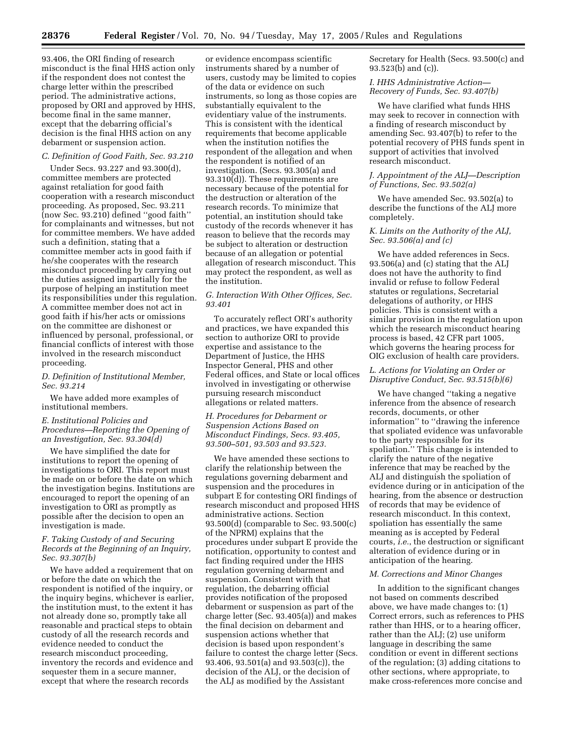93.406, the ORI finding of research misconduct is the final HHS action only if the respondent does not contest the charge letter within the prescribed period. The administrative actions, proposed by ORI and approved by HHS, become final in the same manner, except that the debarring official's decision is the final HHS action on any debarment or suspension action.

## *C. Definition of Good Faith, Sec. 93.210*

Under Secs. 93.227 and 93.300(d), committee members are protected against retaliation for good faith cooperation with a research misconduct proceeding. As proposed, Sec. 93.211 (now Sec. 93.210) defined ''good faith'' for complainants and witnesses, but not for committee members. We have added such a definition, stating that a committee member acts in good faith if he/she cooperates with the research misconduct proceeding by carrying out the duties assigned impartially for the purpose of helping an institution meet its responsibilities under this regulation. A committee member does not act in good faith if his/her acts or omissions on the committee are dishonest or influenced by personal, professional, or financial conflicts of interest with those involved in the research misconduct proceeding.

# *D. Definition of Institutional Member, Sec. 93.214*

We have added more examples of institutional members.

# *E. Institutional Policies and Procedures—Reporting the Opening of an Investigation, Sec. 93.304(d)*

We have simplified the date for institutions to report the opening of investigations to ORI. This report must be made on or before the date on which the investigation begins. Institutions are encouraged to report the opening of an investigation to ORI as promptly as possible after the decision to open an investigation is made.

# *F. Taking Custody of and Securing Records at the Beginning of an Inquiry, Sec. 93.307(b)*

We have added a requirement that on or before the date on which the respondent is notified of the inquiry, or the inquiry begins, whichever is earlier, the institution must, to the extent it has not already done so, promptly take all reasonable and practical steps to obtain custody of all the research records and evidence needed to conduct the research misconduct proceeding, inventory the records and evidence and sequester them in a secure manner, except that where the research records

or evidence encompass scientific instruments shared by a number of users, custody may be limited to copies of the data or evidence on such instruments, so long as those copies are substantially equivalent to the evidentiary value of the instruments. This is consistent with the identical requirements that become applicable when the institution notifies the respondent of the allegation and when the respondent is notified of an investigation. (Secs. 93.305(a) and 93.310(d)). These requirements are necessary because of the potential for the destruction or alteration of the research records. To minimize that potential, an institution should take custody of the records whenever it has reason to believe that the records may be subject to alteration or destruction because of an allegation or potential allegation of research misconduct. This may protect the respondent, as well as the institution.

# *G. Interaction With Other Offices, Sec. 93.401*

To accurately reflect ORI's authority and practices, we have expanded this section to authorize ORI to provide expertise and assistance to the Department of Justice, the HHS Inspector General, PHS and other Federal offices, and State or local offices involved in investigating or otherwise pursuing research misconduct allegations or related matters.

# *H. Procedures for Debarment or Suspension Actions Based on Misconduct Findings, Secs. 93.405, 93.500–501, 93.503 and 93.523.*

We have amended these sections to clarify the relationship between the regulations governing debarment and suspension and the procedures in subpart E for contesting ORI findings of research misconduct and proposed HHS administrative actions. Section 93.500(d) (comparable to Sec. 93.500(c) of the NPRM) explains that the procedures under subpart E provide the notification, opportunity to contest and fact finding required under the HHS regulation governing debarment and suspension. Consistent with that regulation, the debarring official provides notification of the proposed debarment or suspension as part of the charge letter (Sec. 93.405(a)) and makes the final decision on debarment and suspension actions whether that decision is based upon respondent's failure to contest the charge letter (Secs. 93.406, 93.501(a) and 93.503(c)), the decision of the ALJ, or the decision of the ALJ as modified by the Assistant

Secretary for Health (Secs. 93.500(c) and 93.523(b) and (c)).

# *I. HHS Administrative Action— Recovery of Funds, Sec. 93.407(b)*

We have clarified what funds HHS may seek to recover in connection with a finding of research misconduct by amending Sec. 93.407(b) to refer to the potential recovery of PHS funds spent in support of activities that involved research misconduct.

#### *J. Appointment of the ALJ—Description of Functions, Sec. 93.502(a)*

We have amended Sec. 93.502(a) to describe the functions of the ALJ more completely.

# *K. Limits on the Authority of the ALJ, Sec. 93.506(a) and (c)*

We have added references in Secs. 93.506(a) and (c) stating that the ALJ does not have the authority to find invalid or refuse to follow Federal statutes or regulations, Secretarial delegations of authority, or HHS policies. This is consistent with a similar provision in the regulation upon which the research misconduct hearing process is based, 42 CFR part 1005, which governs the hearing process for OIG exclusion of health care providers.

# *L. Actions for Violating an Order or Disruptive Conduct, Sec. 93.515(b)(6)*

We have changed ''taking a negative inference from the absence of research records, documents, or other information'' to ''drawing the inference that spoliated evidence was unfavorable to the party responsible for its spoliation.'' This change is intended to clarify the nature of the negative inference that may be reached by the ALJ and distinguish the spoliation of evidence during or in anticipation of the hearing, from the absence or destruction of records that may be evidence of research misconduct. In this context, spoliation has essentially the same meaning as is accepted by Federal courts, *i.e.*, the destruction or significant alteration of evidence during or in anticipation of the hearing.

#### *M. Corrections and Minor Changes*

In addition to the significant changes not based on comments described above, we have made changes to: (1) Correct errors, such as references to PHS rather than HHS, or to a hearing officer, rather than the ALJ; (2) use uniform language in describing the same condition or event in different sections of the regulation; (3) adding citations to other sections, where appropriate, to make cross-references more concise and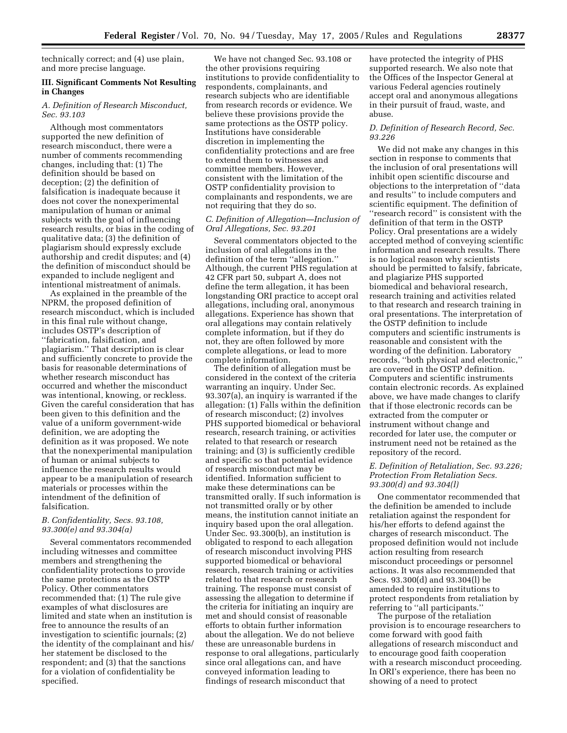technically correct; and (4) use plain, and more precise language.

# **III. Significant Comments Not Resulting in Changes**

*A. Definition of Research Misconduct, Sec. 93.103* 

Although most commentators supported the new definition of research misconduct, there were a number of comments recommending changes, including that: (1) The definition should be based on deception; (2) the definition of falsification is inadequate because it does not cover the nonexperimental manipulation of human or animal subjects with the goal of influencing research results, or bias in the coding of qualitative data; (3) the definition of plagiarism should expressly exclude authorship and credit disputes; and (4) the definition of misconduct should be expanded to include negligent and intentional mistreatment of animals.

As explained in the preamble of the NPRM, the proposed definition of research misconduct, which is included in this final rule without change, includes OSTP's description of ''fabrication, falsification, and plagiarism.'' That description is clear and sufficiently concrete to provide the basis for reasonable determinations of whether research misconduct has occurred and whether the misconduct was intentional, knowing, or reckless. Given the careful consideration that has been given to this definition and the value of a uniform government-wide definition, we are adopting the definition as it was proposed. We note that the nonexperimental manipulation of human or animal subjects to influence the research results would appear to be a manipulation of research materials or processes within the intendment of the definition of falsification.

## *B. Confidentiality, Secs. 93.108, 93.300(e) and 93.304(a)*

Several commentators recommended including witnesses and committee members and strengthening the confidentiality protections to provide the same protections as the OSTP Policy. Other commentators recommended that: (1) The rule give examples of what disclosures are limited and state when an institution is free to announce the results of an investigation to scientific journals; (2) the identity of the complainant and his/ her statement be disclosed to the respondent; and (3) that the sanctions for a violation of confidentiality be specified.

We have not changed Sec. 93.108 or the other provisions requiring institutions to provide confidentiality to respondents, complainants, and research subjects who are identifiable from research records or evidence. We believe these provisions provide the same protections as the OSTP policy. Institutions have considerable discretion in implementing the confidentiality protections and are free to extend them to witnesses and committee members. However, consistent with the limitation of the OSTP confidentiality provision to complainants and respondents, we are not requiring that they do so.

## *C. Definition of Allegation—Inclusion of Oral Allegations, Sec. 93.201*

Several commentators objected to the inclusion of oral allegations in the definition of the term ''allegation.'' Although, the current PHS regulation at 42 CFR part 50, subpart A, does not define the term allegation, it has been longstanding ORI practice to accept oral allegations, including oral, anonymous allegations. Experience has shown that oral allegations may contain relatively complete information, but if they do not, they are often followed by more complete allegations, or lead to more complete information.

The definition of allegation must be considered in the context of the criteria warranting an inquiry. Under Sec. 93.307(a), an inquiry is warranted if the allegation: (1) Falls within the definition of research misconduct; (2) involves PHS supported biomedical or behavioral research, research training, or activities related to that research or research training; and (3) is sufficiently credible and specific so that potential evidence of research misconduct may be identified. Information sufficient to make these determinations can be transmitted orally. If such information is not transmitted orally or by other means, the institution cannot initiate an inquiry based upon the oral allegation. Under Sec. 93.300(b), an institution is obligated to respond to each allegation of research misconduct involving PHS supported biomedical or behavioral research, research training or activities related to that research or research training. The response must consist of assessing the allegation to determine if the criteria for initiating an inquiry are met and should consist of reasonable efforts to obtain further information about the allegation. We do not believe these are unreasonable burdens in response to oral allegations, particularly since oral allegations can, and have conveyed information leading to findings of research misconduct that

have protected the integrity of PHS supported research. We also note that the Offices of the Inspector General at various Federal agencies routinely accept oral and anonymous allegations in their pursuit of fraud, waste, and abuse.

# *D. Definition of Research Record, Sec. 93.226*

We did not make any changes in this section in response to comments that the inclusion of oral presentations will inhibit open scientific discourse and objections to the interpretation of ''data and results'' to include computers and scientific equipment. The definition of ''research record'' is consistent with the definition of that term in the OSTP Policy. Oral presentations are a widely accepted method of conveying scientific information and research results. There is no logical reason why scientists should be permitted to falsify, fabricate, and plagiarize PHS supported biomedical and behavioral research, research training and activities related to that research and research training in oral presentations. The interpretation of the OSTP definition to include computers and scientific instruments is reasonable and consistent with the wording of the definition. Laboratory records, ''both physical and electronic,'' are covered in the OSTP definition. Computers and scientific instruments contain electronic records. As explained above, we have made changes to clarify that if those electronic records can be extracted from the computer or instrument without change and recorded for later use, the computer or instrument need not be retained as the repository of the record.

# *E. Definition of Retaliation, Sec. 93.226; Protection From Retaliation Secs. 93.300(d) and 93.304(l)*

One commentator recommended that the definition be amended to include retaliation against the respondent for his/her efforts to defend against the charges of research misconduct. The proposed definition would not include action resulting from research misconduct proceedings or personnel actions. It was also recommended that Secs. 93.300(d) and 93.304(l) be amended to require institutions to protect respondents from retaliation by referring to ''all participants.''

The purpose of the retaliation provision is to encourage researchers to come forward with good faith allegations of research misconduct and to encourage good faith cooperation with a research misconduct proceeding. In ORI's experience, there has been no showing of a need to protect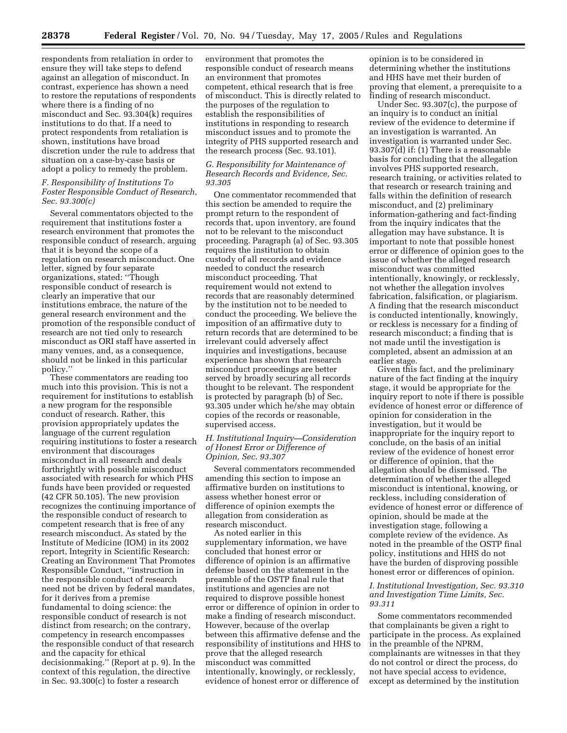respondents from retaliation in order to ensure they will take steps to defend against an allegation of misconduct. In contrast, experience has shown a need to restore the reputations of respondents where there is a finding of no misconduct and Sec. 93.304(k) requires institutions to do that. If a need to protect respondents from retaliation is shown, institutions have broad discretion under the rule to address that situation on a case-by-case basis or adopt a policy to remedy the problem.

# *F. Responsibility of Institutions To Foster Responsible Conduct of Research, Sec. 93.300(c)*

Several commentators objected to the requirement that institutions foster a research environment that promotes the responsible conduct of research, arguing that it is beyond the scope of a regulation on research misconduct. One letter, signed by four separate organizations, stated: ''Though responsible conduct of research is clearly an imperative that our institutions embrace, the nature of the general research environment and the promotion of the responsible conduct of research are not tied only to research misconduct as ORI staff have asserted in many venues, and, as a consequence, should not be linked in this particular policy.''

These commentators are reading too much into this provision. This is not a requirement for institutions to establish a new program for the responsible conduct of research. Rather, this provision appropriately updates the language of the current regulation requiring institutions to foster a research environment that discourages misconduct in all research and deals forthrightly with possible misconduct associated with research for which PHS funds have been provided or requested (42 CFR 50.105). The new provision recognizes the continuing importance of the responsible conduct of research to competent research that is free of any research misconduct. As stated by the Institute of Medicine (IOM) in its 2002 report, Integrity in Scientific Research: Creating an Environment That Promotes Responsible Conduct, ''instruction in the responsible conduct of research need not be driven by federal mandates, for it derives from a premise fundamental to doing science: the responsible conduct of research is not distinct from research; on the contrary, competency in research encompasses the responsible conduct of that research and the capacity for ethical decisionmaking.'' (Report at p. 9). In the context of this regulation, the directive in Sec. 93.300(c) to foster a research

environment that promotes the responsible conduct of research means an environment that promotes competent, ethical research that is free of misconduct. This is directly related to the purposes of the regulation to establish the responsibilities of institutions in responding to research misconduct issues and to promote the integrity of PHS supported research and the research process (Sec. 93.101).

## *G. Responsibility for Maintenance of Research Records and Evidence, Sec. 93.305*

One commentator recommended that this section be amended to require the prompt return to the respondent of records that, upon inventory, are found not to be relevant to the misconduct proceeding. Paragraph (a) of Sec. 93.305 requires the institution to obtain custody of all records and evidence needed to conduct the research misconduct proceeding. That requirement would not extend to records that are reasonably determined by the institution not to be needed to conduct the proceeding. We believe the imposition of an affirmative duty to return records that are determined to be irrelevant could adversely affect inquiries and investigations, because experience has shown that research misconduct proceedings are better served by broadly securing all records thought to be relevant. The respondent is protected by paragraph (b) of Sec. 93.305 under which he/she may obtain copies of the records or reasonable, supervised access.

# *H. Institutional Inquiry—Consideration of Honest Error or Difference of Opinion, Sec. 93.307*

Several commentators recommended amending this section to impose an affirmative burden on institutions to assess whether honest error or difference of opinion exempts the allegation from consideration as research misconduct.

As noted earlier in this supplementary information, we have concluded that honest error or difference of opinion is an affirmative defense based on the statement in the preamble of the OSTP final rule that institutions and agencies are not required to disprove possible honest error or difference of opinion in order to make a finding of research misconduct. However, because of the overlap between this affirmative defense and the responsibility of institutions and HHS to prove that the alleged research misconduct was committed intentionally, knowingly, or recklessly, evidence of honest error or difference of

opinion is to be considered in determining whether the institutions and HHS have met their burden of proving that element, a prerequisite to a finding of research misconduct.

Under Sec. 93.307(c), the purpose of an inquiry is to conduct an initial review of the evidence to determine if an investigation is warranted. An investigation is warranted under Sec. 93.307(d) if: (1) There is a reasonable basis for concluding that the allegation involves PHS supported research, research training, or activities related to that research or research training and falls within the definition of research misconduct, and (2) preliminary information-gathering and fact-finding from the inquiry indicates that the allegation may have substance. It is important to note that possible honest error or difference of opinion goes to the issue of whether the alleged research misconduct was committed intentionally, knowingly, or recklessly, not whether the allegation involves fabrication, falsification, or plagiarism. A finding that the research misconduct is conducted intentionally, knowingly, or reckless is necessary for a finding of research misconduct; a finding that is not made until the investigation is completed, absent an admission at an earlier stage.

Given this fact, and the preliminary nature of the fact finding at the inquiry stage, it would be appropriate for the inquiry report to note if there is possible evidence of honest error or difference of opinion for consideration in the investigation, but it would be inappropriate for the inquiry report to conclude, on the basis of an initial review of the evidence of honest error or difference of opinion, that the allegation should be dismissed. The determination of whether the alleged misconduct is intentional, knowing, or reckless, including consideration of evidence of honest error or difference of opinion, should be made at the investigation stage, following a complete review of the evidence. As noted in the preamble of the OSTP final policy, institutions and HHS do not have the burden of disproving possible honest error or differences of opinion.

#### *I. Institutional Investigation, Sec. 93.310 and Investigation Time Limits, Sec. 93.311*

Some commentators recommended that complainants be given a right to participate in the process. As explained in the preamble of the NPRM, complainants are witnesses in that they do not control or direct the process, do not have special access to evidence, except as determined by the institution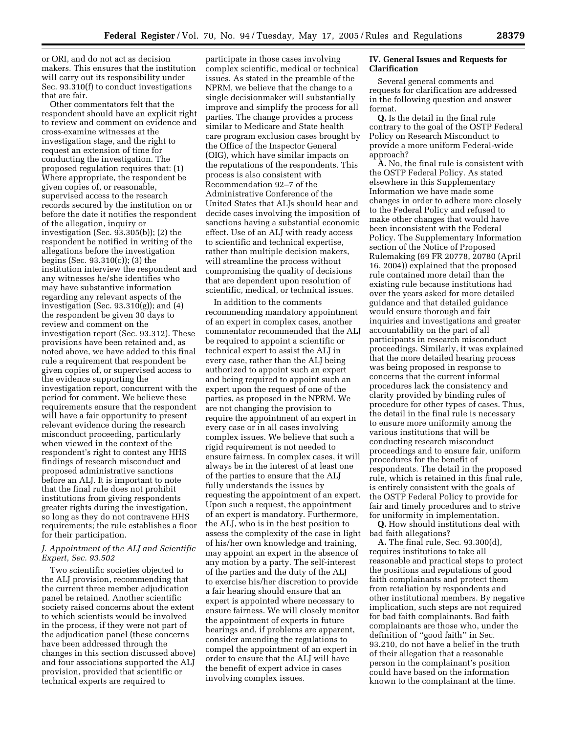or ORI, and do not act as decision makers. This ensures that the institution will carry out its responsibility under Sec. 93.310(f) to conduct investigations that are fair.

Other commentators felt that the respondent should have an explicit right to review and comment on evidence and cross-examine witnesses at the investigation stage, and the right to request an extension of time for conducting the investigation. The proposed regulation requires that: (1) Where appropriate, the respondent be given copies of, or reasonable, supervised access to the research records secured by the institution on or before the date it notifies the respondent of the allegation, inquiry or investigation (Sec. 93.305(b)); (2) the respondent be notified in writing of the allegations before the investigation begins (Sec. 93.310(c)); (3) the institution interview the respondent and any witnesses he/she identifies who may have substantive information regarding any relevant aspects of the investigation (Sec. 93.310(g)); and (4) the respondent be given 30 days to review and comment on the investigation report (Sec. 93.312). These provisions have been retained and, as noted above, we have added to this final rule a requirement that respondent be given copies of, or supervised access to the evidence supporting the investigation report, concurrent with the period for comment. We believe these requirements ensure that the respondent will have a fair opportunity to present relevant evidence during the research misconduct proceeding, particularly when viewed in the context of the respondent's right to contest any HHS findings of research misconduct and proposed administrative sanctions before an ALJ. It is important to note that the final rule does not prohibit institutions from giving respondents greater rights during the investigation, so long as they do not contravene HHS requirements; the rule establishes a floor for their participation.

# *J. Appointment of the ALJ and Scientific Expert, Sec. 93.502*

Two scientific societies objected to the ALJ provision, recommending that the current three member adjudication panel be retained. Another scientific society raised concerns about the extent to which scientists would be involved in the process, if they were not part of the adjudication panel (these concerns have been addressed through the changes in this section discussed above) and four associations supported the ALJ provision, provided that scientific or technical experts are required to

participate in those cases involving complex scientific, medical or technical issues. As stated in the preamble of the NPRM, we believe that the change to a single decisionmaker will substantially improve and simplify the process for all parties. The change provides a process similar to Medicare and State health care program exclusion cases brought by the Office of the Inspector General (OIG), which have similar impacts on the reputations of the respondents. This process is also consistent with Recommendation 92–7 of the Administrative Conference of the United States that ALJs should hear and decide cases involving the imposition of sanctions having a substantial economic effect. Use of an ALJ with ready access to scientific and technical expertise, rather than multiple decision makers, will streamline the process without compromising the quality of decisions that are dependent upon resolution of scientific, medical, or technical issues.

In addition to the comments recommending mandatory appointment of an expert in complex cases, another commentator recommended that the ALJ be required to appoint a scientific or technical expert to assist the ALJ in every case, rather than the ALJ being authorized to appoint such an expert and being required to appoint such an expert upon the request of one of the parties, as proposed in the NPRM. We are not changing the provision to require the appointment of an expert in every case or in all cases involving complex issues. We believe that such a rigid requirement is not needed to ensure fairness. In complex cases, it will always be in the interest of at least one of the parties to ensure that the ALJ fully understands the issues by requesting the appointment of an expert. Upon such a request, the appointment of an expert is mandatory. Furthermore, the ALJ, who is in the best position to assess the complexity of the case in light of his/her own knowledge and training, may appoint an expert in the absence of any motion by a party. The self-interest of the parties and the duty of the ALJ to exercise his/her discretion to provide a fair hearing should ensure that an expert is appointed where necessary to ensure fairness. We will closely monitor the appointment of experts in future hearings and, if problems are apparent, consider amending the regulations to compel the appointment of an expert in order to ensure that the ALJ will have the benefit of expert advice in cases involving complex issues.

## **IV. General Issues and Requests for Clarification**

Several general comments and requests for clarification are addressed in the following question and answer format.

**Q.** Is the detail in the final rule contrary to the goal of the OSTP Federal Policy on Research Misconduct to provide a more uniform Federal-wide approach?

**A.** No, the final rule is consistent with the OSTP Federal Policy. As stated elsewhere in this Supplementary Information we have made some changes in order to adhere more closely to the Federal Policy and refused to make other changes that would have been inconsistent with the Federal Policy. The Supplementary Information section of the Notice of Proposed Rulemaking (69 FR 20778, 20780 (April 16, 2004)) explained that the proposed rule contained more detail than the existing rule because institutions had over the years asked for more detailed guidance and that detailed guidance would ensure thorough and fair inquiries and investigations and greater accountability on the part of all participants in research misconduct proceedings. Similarly, it was explained that the more detailed hearing process was being proposed in response to concerns that the current informal procedures lack the consistency and clarity provided by binding rules of procedure for other types of cases. Thus, the detail in the final rule is necessary to ensure more uniformity among the various institutions that will be conducting research misconduct proceedings and to ensure fair, uniform procedures for the benefit of respondents. The detail in the proposed rule, which is retained in this final rule, is entirely consistent with the goals of the OSTP Federal Policy to provide for fair and timely procedures and to strive for uniformity in implementation.

**Q.** How should institutions deal with bad faith allegations?

**A.** The final rule, Sec. 93.300(d), requires institutions to take all reasonable and practical steps to protect the positions and reputations of good faith complainants and protect them from retaliation by respondents and other institutional members. By negative implication, such steps are not required for bad faith complainants. Bad faith complainants are those who, under the definition of ''good faith'' in Sec. 93.210, do not have a belief in the truth of their allegation that a reasonable person in the complainant's position could have based on the information known to the complainant at the time.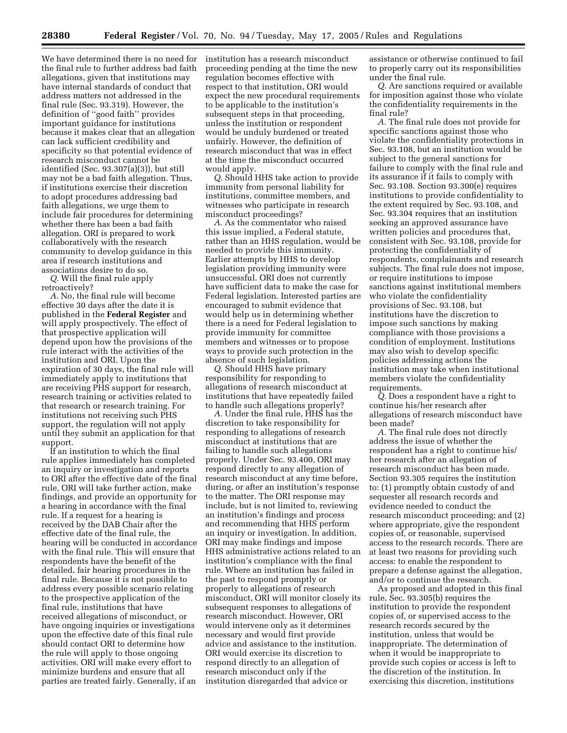We have determined there is no need for the final rule to further address bad faith allegations, given that institutions may have internal standards of conduct that address matters not addressed in the final rule (Sec. 93.319). However, the definition of ''good faith'' provides important guidance for institutions because it makes clear that an allegation can lack sufficient credibility and specificity so that potential evidence of research misconduct cannot be identified (Sec. 93.307(a)(3)), but still may not be a bad faith allegation. Thus, if institutions exercise their discretion to adopt procedures addressing bad faith allegations, we urge them to include fair procedures for determining whether there has been a bad faith allegation. ORI is prepared to work collaboratively with the research community to develop guidance in this area if research institutions and associations desire to do so.

*Q.* Will the final rule apply retroactively?

*A.* No, the final rule will become effective 30 days after the date it is published in the **Federal Register** and will apply prospectively. The effect of that prospective application will depend upon how the provisions of the rule interact with the activities of the institution and ORI. Upon the expiration of 30 days, the final rule will immediately apply to institutions that are receiving PHS support for research, research training or activities related to that research or research training. For institutions not receiving such PHS support, the regulation will not apply until they submit an application for that support.

If an institution to which the final rule applies immediately has completed an inquiry or investigation and reports to ORI after the effective date of the final rule, ORI will take further action, make findings, and provide an opportunity for a hearing in accordance with the final rule. If a request for a hearing is received by the DAB Chair after the effective date of the final rule, the hearing will be conducted in accordance with the final rule. This will ensure that respondents have the benefit of the detailed, fair hearing procedures in the final rule. Because it is not possible to address every possible scenario relating to the prospective application of the final rule, institutions that have received allegations of misconduct, or have ongoing inquiries or investigations upon the effective date of this final rule should contact ORI to determine how the rule will apply to those ongoing activities. ORI will make every effort to minimize burdens and ensure that all parties are treated fairly. Generally, if an

institution has a research misconduct proceeding pending at the time the new regulation becomes effective with respect to that institution, ORI would expect the new procedural requirements to be applicable to the institution's subsequent steps in that proceeding, unless the institution or respondent would be unduly burdened or treated unfairly. However, the definition of research misconduct that was in effect at the time the misconduct occurred would apply.

*Q.* Should HHS take action to provide immunity from personal liability for institutions, committee members, and witnesses who participate in research misconduct proceedings?

*A.* As the commentator who raised this issue implied, a Federal statute, rather than an HHS regulation, would be needed to provide this immunity. Earlier attempts by HHS to develop legislation providing immunity were unsuccessful. ORI does not currently have sufficient data to make the case for Federal legislation. Interested parties are encouraged to submit evidence that would help us in determining whether there is a need for Federal legislation to provide immunity for committee members and witnesses or to propose ways to provide such protection in the absence of such legislation.

*Q.* Should HHS have primary responsibility for responding to allegations of research misconduct at institutions that have repeatedly failed to handle such allegations properly?

*A.* Under the final rule, HHS has the discretion to take responsibility for responding to allegations of research misconduct at institutions that are failing to handle such allegations properly. Under Sec. 93.400, ORI may respond directly to any allegation of research misconduct at any time before, during, or after an institution's response to the matter. The ORI response may include, but is not limited to, reviewing an institution's findings and process and recommending that HHS perform an inquiry or investigation. In addition, ORI may make findings and impose HHS administrative actions related to an institution's compliance with the final rule. Where an institution has failed in the past to respond promptly or properly to allegations of research misconduct, ORI will monitor closely its subsequent responses to allegations of research misconduct. However, ORI would intervene only as it determines necessary and would first provide advice and assistance to the institution. ORI would exercise its discretion to respond directly to an allegation of research misconduct only if the institution disregarded that advice or

assistance or otherwise continued to fail to properly carry out its responsibilities under the final rule.

*Q.* Are sanctions required or available for imposition against those who violate the confidentiality requirements in the final rule?

*A.* The final rule does not provide for specific sanctions against those who violate the confidentiality protections in Sec. 93.108, but an institution would be subject to the general sanctions for failure to comply with the final rule and its assurance if it fails to comply with Sec. 93.108. Section 93.300(e) requires institutions to provide confidentiality to the extent required by Sec. 93.108, and Sec. 93.304 requires that an institution seeking an approved assurance have written policies and procedures that, consistent with Sec. 93.108, provide for protecting the confidentiality of respondents, complainants and research subjects. The final rule does not impose, or require institutions to impose sanctions against institutional members who violate the confidentiality provisions of Sec. 93.108, but institutions have the discretion to impose such sanctions by making compliance with those provisions a condition of employment. Institutions may also wish to develop specific policies addressing actions the institution may take when institutional members violate the confidentiality requirements.

*Q.* Does a respondent have a right to continue his/her research after allegations of research misconduct have been made?

*A.* The final rule does not directly address the issue of whether the respondent has a right to continue his/ her research after an allegation of research misconduct has been made. Section 93.305 requires the institution to: (1) promptly obtain custody of and sequester all research records and evidence needed to conduct the research misconduct proceeding; and (2) where appropriate, give the respondent copies of, or reasonable, supervised access to the research records. There are at least two reasons for providing such access: to enable the respondent to prepare a defense against the allegation, and/or to continue the research.

As proposed and adopted in this final rule, Sec. 93.305(b) requires the institution to provide the respondent copies of, or supervised access to the research records secured by the institution, unless that would be inappropriate. The determination of when it would be inappropriate to provide such copies or access is left to the discretion of the institution. In exercising this discretion, institutions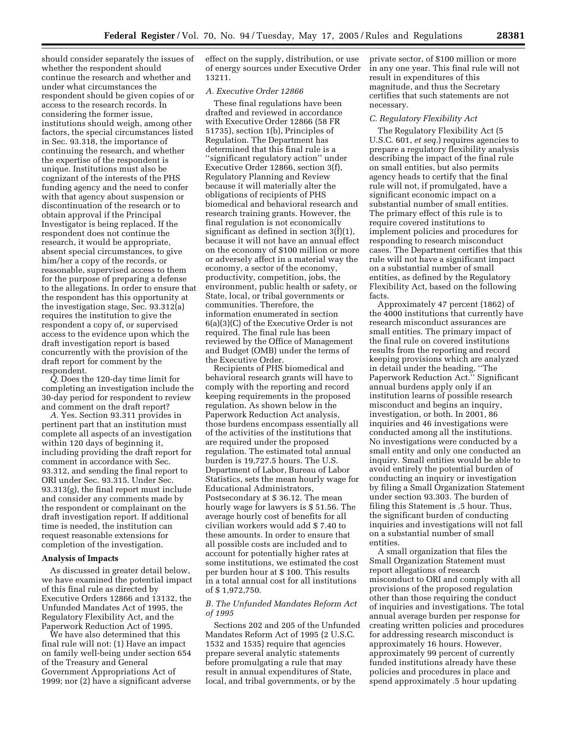should consider separately the issues of whether the respondent should continue the research and whether and under what circumstances the respondent should be given copies of or access to the research records. In considering the former issue, institutions should weigh, among other factors, the special circumstances listed in Sec. 93.318, the importance of continuing the research, and whether the expertise of the respondent is unique. Institutions must also be cognizant of the interests of the PHS funding agency and the need to confer with that agency about suspension or discontinuation of the research or to obtain approval if the Principal Investigator is being replaced. If the respondent does not continue the research, it would be appropriate, absent special circumstances, to give him/her a copy of the records, or reasonable, supervised access to them for the purpose of preparing a defense to the allegations. In order to ensure that the respondent has this opportunity at the investigation stage, Sec. 93.312(a) requires the institution to give the respondent a copy of, or supervised access to the evidence upon which the draft investigation report is based concurrently with the provision of the draft report for comment by the respondent.

*Q.* Does the 120-day time limit for completing an investigation include the 30-day period for respondent to review and comment on the draft report?

*A.* Yes. Section 93.311 provides in pertinent part that an institution must complete all aspects of an investigation within 120 days of beginning it, including providing the draft report for comment in accordance with Sec. 93.312, and sending the final report to ORI under Sec. 93.315. Under Sec. 93.313(g), the final report must include and consider any comments made by the respondent or complainant on the draft investigation report. If additional time is needed, the institution can request reasonable extensions for completion of the investigation.

## **Analysis of Impacts**

As discussed in greater detail below, we have examined the potential impact of this final rule as directed by Executive Orders 12866 and 13132, the Unfunded Mandates Act of 1995, the Regulatory Flexibility Act, and the Paperwork Reduction Act of 1995.

We have also determined that this final rule will not: (1) Have an impact on family well-being under section 654 of the Treasury and General Government Appropriations Act of 1999; nor (2) have a significant adverse effect on the supply, distribution, or use of energy sources under Executive Order 13211.

# *A. Executive Order 12866*

These final regulations have been drafted and reviewed in accordance with Executive Order 12866 (58 FR 51735), section 1(b), Principles of Regulation. The Department has determined that this final rule is a ''significant regulatory action'' under Executive Order 12866, section 3(f), Regulatory Planning and Review because it will materially alter the obligations of recipients of PHS biomedical and behavioral research and research training grants. However, the final regulation is not economically significant as defined in section 3(f)(1), because it will not have an annual effect on the economy of \$100 million or more or adversely affect in a material way the economy, a sector of the economy, productivity, competition, jobs, the environment, public health or safety, or State, local, or tribal governments or communities. Therefore, the information enumerated in section 6(a)(3)(C) of the Executive Order is not required. The final rule has been reviewed by the Office of Management and Budget (OMB) under the terms of the Executive Order.

Recipients of PHS biomedical and behavioral research grants will have to comply with the reporting and record keeping requirements in the proposed regulation. As shown below in the Paperwork Reduction Act analysis, those burdens encompass essentially all of the activities of the institutions that are required under the proposed regulation. The estimated total annual burden is 19,727.5 hours. The U.S. Department of Labor, Bureau of Labor Statistics, sets the mean hourly wage for Educational Administrators, Postsecondary at \$ 36.12. The mean hourly wage for lawyers is \$ 51.56. The average hourly cost of benefits for all civilian workers would add \$ 7.40 to these amounts. In order to ensure that all possible costs are included and to account for potentially higher rates at some institutions, we estimated the cost per burden hour at \$ 100. This results in a total annual cost for all institutions of \$ 1,972,750.

# *B. The Unfunded Mandates Reform Act of 1995*

Sections 202 and 205 of the Unfunded Mandates Reform Act of 1995 (2 U.S.C. 1532 and 1535) require that agencies prepare several analytic statements before promulgating a rule that may result in annual expenditures of State, local, and tribal governments, or by the

private sector, of \$100 million or more in any one year. This final rule will not result in expenditures of this magnitude, and thus the Secretary certifies that such statements are not necessary.

#### *C. Regulatory Flexibility Act*

The Regulatory Flexibility Act (5 U.S.C. 601, *et seq.*) requires agencies to prepare a regulatory flexibility analysis describing the impact of the final rule on small entities, but also permits agency heads to certify that the final rule will not, if promulgated, have a significant economic impact on a substantial number of small entities. The primary effect of this rule is to require covered institutions to implement policies and procedures for responding to research misconduct cases. The Department certifies that this rule will not have a significant impact on a substantial number of small entities, as defined by the Regulatory Flexibility Act, based on the following facts.

Approximately 47 percent (1862) of the 4000 institutions that currently have research misconduct assurances are small entities. The primary impact of the final rule on covered institutions results from the reporting and record keeping provisions which are analyzed in detail under the heading, ''The Paperwork Reduction Act.'' Significant annual burdens apply only if an institution learns of possible research misconduct and begins an inquiry, investigation, or both. In 2001, 86 inquiries and 46 investigations were conducted among all the institutions. No investigations were conducted by a small entity and only one conducted an inquiry. Small entities would be able to avoid entirely the potential burden of conducting an inquiry or investigation by filing a Small Organization Statement under section 93.303. The burden of filing this Statement is .5 hour. Thus, the significant burden of conducting inquiries and investigations will not fall on a substantial number of small entities.

A small organization that files the Small Organization Statement must report allegations of research misconduct to ORI and comply with all provisions of the proposed regulation other than those requiring the conduct of inquiries and investigations. The total annual average burden per response for creating written policies and procedures for addressing research misconduct is approximately 16 hours. However, approximately 99 percent of currently funded institutions already have these policies and procedures in place and spend approximately .5 hour updating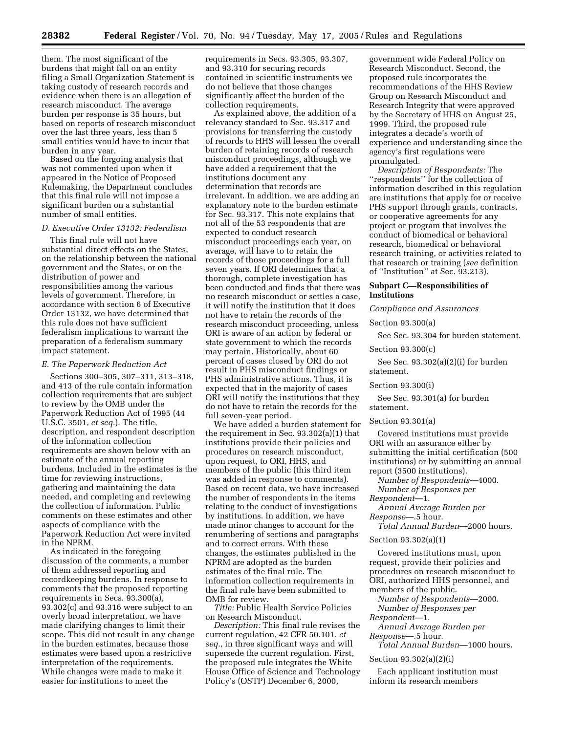them. The most significant of the burdens that might fall on an entity filing a Small Organization Statement is taking custody of research records and evidence when there is an allegation of research misconduct. The average burden per response is 35 hours, but based on reports of research misconduct over the last three years, less than 5 small entities would have to incur that burden in any year.

Based on the forgoing analysis that was not commented upon when it appeared in the Notice of Proposed Rulemaking, the Department concludes that this final rule will not impose a significant burden on a substantial number of small entities.

# *D. Executive Order 13132: Federalism*

This final rule will not have substantial direct effects on the States, on the relationship between the national government and the States, or on the distribution of power and responsibilities among the various levels of government. Therefore, in accordance with section 6 of Executive Order 13132, we have determined that this rule does not have sufficient federalism implications to warrant the preparation of a federalism summary impact statement.

#### *E. The Paperwork Reduction Act*

Sections 300–305, 307–311, 313–318, and 413 of the rule contain information collection requirements that are subject to review by the OMB under the Paperwork Reduction Act of 1995 (44 U.S.C. 3501, *et seq.*). The title, description, and respondent description of the information collection requirements are shown below with an estimate of the annual reporting burdens. Included in the estimates is the time for reviewing instructions, gathering and maintaining the data needed, and completing and reviewing the collection of information. Public comments on these estimates and other aspects of compliance with the Paperwork Reduction Act were invited in the NPRM.

As indicated in the foregoing discussion of the comments, a number of them addressed reporting and recordkeeping burdens. In response to comments that the proposed reporting requirements in Secs. 93.300(a), 93.302(c) and 93.316 were subject to an overly broad interpretation, we have made clarifying changes to limit their scope. This did not result in any change in the burden estimates, because those estimates were based upon a restrictive interpretation of the requirements. While changes were made to make it easier for institutions to meet the

requirements in Secs. 93.305, 93.307, and 93.310 for securing records contained in scientific instruments we do not believe that those changes significantly affect the burden of the collection requirements.

As explained above, the addition of a relevancy standard to Sec. 93.317 and provisions for transferring the custody of records to HHS will lessen the overall burden of retaining records of research misconduct proceedings, although we have added a requirement that the institutions document any determination that records are irrelevant. In addition, we are adding an explanatory note to the burden estimate for Sec. 93.317. This note explains that not all of the 53 respondents that are expected to conduct research misconduct proceedings each year, on average, will have to to retain the records of those proceedings for a full seven years. If ORI determines that a thorough, complete investigation has been conducted and finds that there was no research misconduct or settles a case, it will notify the institution that it does not have to retain the records of the research misconduct proceeding, unless ORI is aware of an action by federal or state government to which the records may pertain. Historically, about 60 percent of cases closed by ORI do not result in PHS misconduct findings or PHS administrative actions. Thus, it is expected that in the majority of cases ORI will notify the institutions that they do not have to retain the records for the full seven-year period.

We have added a burden statement for the requirement in Sec. 93.302(a)(1) that institutions provide their policies and procedures on research misconduct, upon request, to ORI, HHS, and members of the public (this third item was added in response to comments). Based on recent data, we have increased the number of respondents in the items relating to the conduct of investigations by institutions. In addition, we have made minor changes to account for the renumbering of sections and paragraphs and to correct errors. With these changes, the estimates published in the NPRM are adopted as the burden estimates of the final rule. The information collection requirements in the final rule have been submitted to OMB for review.

*Title:* Public Health Service Policies on Research Misconduct.

*Description:* This final rule revises the current regulation, 42 CFR 50.101, *et seq.*, in three significant ways and will supersede the current regulation. First, the proposed rule integrates the White House Office of Science and Technology Policy's (OSTP) December 6, 2000,

government wide Federal Policy on Research Misconduct. Second, the proposed rule incorporates the recommendations of the HHS Review Group on Research Misconduct and Research Integrity that were approved by the Secretary of HHS on August 25, 1999. Third, the proposed rule integrates a decade's worth of experience and understanding since the agency's first regulations were promulgated.

*Description of Respondents:* The ''respondents'' for the collection of information described in this regulation are institutions that apply for or receive PHS support through grants, contracts, or cooperative agreements for any project or program that involves the conduct of biomedical or behavioral research, biomedical or behavioral research training, or activities related to that research or training (*see* definition of ''Institution'' at Sec. 93.213).

#### **Subpart C—Responsibilities of Institutions**

#### *Compliance and Assurances*

Section 93.300(a)

See Sec. 93.304 for burden statement.

Section 93.300(c)

See Sec. 93.302(a)(2)(i) for burden statement.

Section 93.300(i)

See Sec. 93.301(a) for burden statement.

Section 93.301(a)

Covered institutions must provide ORI with an assurance either by submitting the initial certification (500 institutions) or by submitting an annual report (3500 institutions).

*Number of Respondents*—4000. *Number of Responses per* 

*Respondent*—1.

*Annual Average Burden per Response*—.5 hour.

*Total Annual Burden*—2000 hours.

Section 93.302(a)(1)

Covered institutions must, upon request, provide their policies and procedures on research misconduct to ORI, authorized HHS personnel, and members of the public.

*Number of Respondents*—2000. *Number of Responses per* 

*Respondent*—1.

*Annual Average Burden per Response*—.5 hour.

*Total Annual Burden*—1000 hours.

Section 93.302(a)(2)(i)

Each applicant institution must inform its research members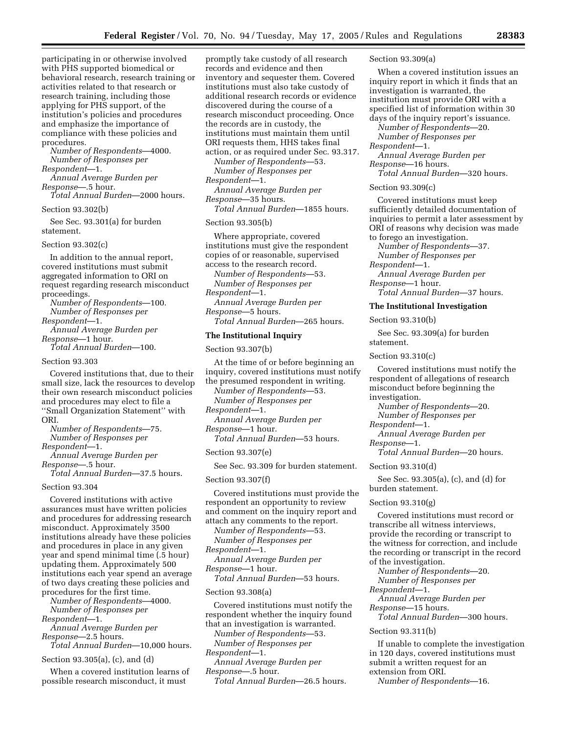participating in or otherwise involved with PHS supported biomedical or behavioral research, research training or activities related to that research or research training, including those applying for PHS support, of the institution's policies and procedures and emphasize the importance of compliance with these policies and procedures.

*Number of Respondents*—4000. *Number of Responses per Respondent*—1.

*Annual Average Burden per Response*—.5 hour.

*Total Annual Burden*—2000 hours. Section 93.302(b)

See Sec. 93.301(a) for burden statement.

Section 93.302(c)

In addition to the annual report, covered institutions must submit aggregated information to ORI on request regarding research misconduct proceedings.

*Number of Respondents*—100. *Number of Responses per Respondent*—1. *Annual Average Burden per* 

*Response*—1 hour. *Total Annual Burden*—100.

Section 93.303

Covered institutions that, due to their small size, lack the resources to develop their own research misconduct policies and procedures may elect to file a ''Small Organization Statement'' with ORI.

*Number of Respondents*—75. *Number of Responses per Respondent*—1.

*Annual Average Burden per Response*—.5 hour.

*Total Annual Burden*—37.5 hours.

Section 93.304

Covered institutions with active assurances must have written policies and procedures for addressing research misconduct. Approximately 3500 institutions already have these policies and procedures in place in any given year and spend minimal time (.5 hour) updating them. Approximately 500 institutions each year spend an average of two days creating these policies and procedures for the first time.

*Number of Respondents*—4000. *Number of Responses per* 

*Respondent*—1. *Annual Average Burden per Response*—2.5 hours.

*Total Annual Burden*—10,000 hours.

Section 93.305(a), (c), and (d)

When a covered institution learns of possible research misconduct, it must

promptly take custody of all research records and evidence and then inventory and sequester them. Covered institutions must also take custody of additional research records or evidence discovered during the course of a research misconduct proceeding. Once the records are in custody, the institutions must maintain them until ORI requests them, HHS takes final action, or as required under Sec. 93.317.

*Number of Respondents*—53. *Number of Responses per Respondent*—1.

*Annual Average Burden per Response*—35 hours.

*Total Annual Burden*—1855 hours.

# Section 93.305(b)

Where appropriate, covered institutions must give the respondent copies of or reasonable, supervised access to the research record.

*Number of Respondents*—53. *Number of Responses per Respondent*—1.

*Annual Average Burden per Response*—5 hours.

*Total Annual Burden*—265 hours.

# **The Institutional Inquiry**

Section 93.307(b)

At the time of or before beginning an inquiry, covered institutions must notify the presumed respondent in writing. *Number of Respondents*—53. *Number of Responses per Respondent*—1.

*Annual Average Burden per Response*—1 hour.

*Total Annual Burden*—53 hours.

Section 93.307(e)

See Sec. 93.309 for burden statement.

Section 93.307(f)

Covered institutions must provide the respondent an opportunity to review and comment on the inquiry report and attach any comments to the report.

*Number of Respondents*—53.

*Number of Responses per Respondent*—1.

*Annual Average Burden per* 

*Response*—1 hour.

*Total Annual Burden*—53 hours.

#### Section 93.308(a)

Covered institutions must notify the respondent whether the inquiry found that an investigation is warranted.

*Number of Respondents*—53.

*Number of Responses per* 

*Respondent*—1.

*Annual Average Burden per Response*—.5 hour.

*Total Annual Burden*—26.5 hours.

## Section 93.309(a)

When a covered institution issues an inquiry report in which it finds that an investigation is warranted, the institution must provide ORI with a specified list of information within 30 days of the inquiry report's issuance.

*Number of Respondents*—20. *Number of Responses per* 

*Respondent*—1.

*Annual Average Burden per Response*—16 hours.

*Total Annual Burden*—320 hours.

Section 93.309(c)

Covered institutions must keep sufficiently detailed documentation of inquiries to permit a later assessment by ORI of reasons why decision was made to forego an investigation.

*Number of Respondents*—37.

*Number of Responses per* 

*Respondent*—1. *Annual Average Burden per* 

*Response*—1 hour. *Total Annual Burden*—37 hours.

#### **The Institutional Investigation**

Section 93.310(b)

See Sec. 93.309(a) for burden statement.

## Section 93.310(c)

Covered institutions must notify the respondent of allegations of research misconduct before beginning the investigation.

*Number of Respondents*—20. *Number of Responses per* 

*Respondent*—1.

*Annual Average Burden per Response*—1.

*Total Annual Burden*—20 hours.

Section 93.310(d)

See Sec. 93.305(a), (c), and (d) for burden statement.

#### Section 93.310(g)

Covered institutions must record or transcribe all witness interviews, provide the recording or transcript to the witness for correction, and include the recording or transcript in the record of the investigation.

*Number of Respondents*—20. *Number of Responses per* 

*Respondent*—1.

*Annual Average Burden per Response*—15 hours.

*Total Annual Burden*—300 hours.

#### Section 93.311(b)

If unable to complete the investigation in 120 days, covered institutions must submit a written request for an extension from ORI.

*Number of Respondents*—16.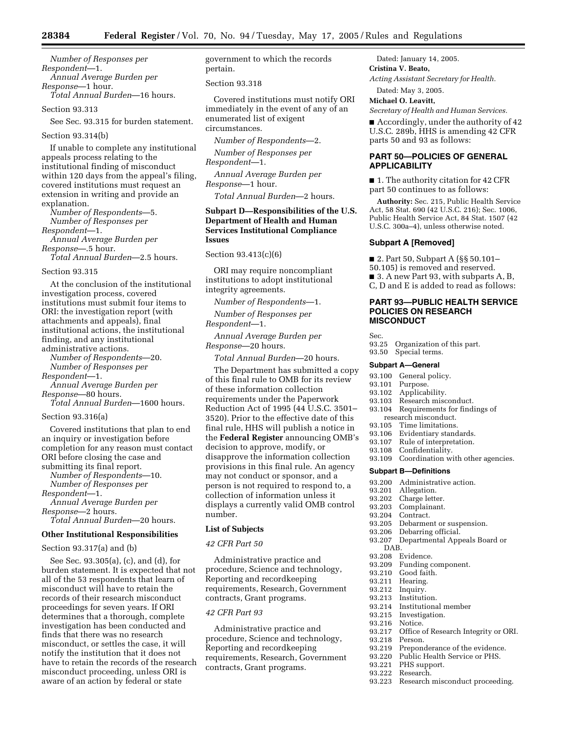*Number of Responses per Respondent*—1. *Annual Average Burden per Response*—1 hour. *Total Annual Burden*—16 hours.

## Section 93.313

See Sec. 93.315 for burden statement.

#### Section 93.314(b)

If unable to complete any institutional appeals process relating to the institutional finding of misconduct within 120 days from the appeal's filing, covered institutions must request an extension in writing and provide an explanation.

*Number of Respondents*—5. *Number of Responses per Respondent*—1. *Annual Average Burden per Response*—.5 hour. *Total Annual Burden*—2.5 hours.

#### Section 93.315

At the conclusion of the institutional investigation process, covered institutions must submit four items to ORI: the investigation report (with attachments and appeals), final institutional actions, the institutional finding, and any institutional administrative actions.

*Number of Respondents*—20. *Number of Responses per Respondent*—1.

*Annual Average Burden per Response*—80 hours.

*Total Annual Burden*—1600 hours.

#### Section 93.316(a)

Covered institutions that plan to end an inquiry or investigation before completion for any reason must contact ORI before closing the case and submitting its final report.

*Number of Respondents*—10. *Number of Responses per Respondent*—1. *Annual Average Burden per* 

*Response*—2 hours. *Total Annual Burden*—20 hours.

#### **Other Institutional Responsibilities**

# Section 93.317(a) and (b)

See Sec. 93.305(a), (c), and (d), for burden statement. It is expected that not all of the 53 respondents that learn of misconduct will have to retain the records of their research misconduct proceedings for seven years. If ORI determines that a thorough, complete investigation has been conducted and finds that there was no research misconduct, or settles the case, it will notify the institution that it does not have to retain the records of the research misconduct proceeding, unless ORI is aware of an action by federal or state

government to which the records pertain.

#### Section 93.318

Covered institutions must notify ORI immediately in the event of any of an enumerated list of exigent circumstances.

*Number of Respondents*—2.

*Number of Responses per Respondent*—1.

*Annual Average Burden per Response*—1 hour.

*Total Annual Burden*—2 hours.

# **Subpart D—Responsibilities of the U.S. Department of Health and Human Services Institutional Compliance Issues**

Section 93.413(c)(6)

ORI may require noncompliant institutions to adopt institutional integrity agreements.

*Number of Respondents*—1.

*Number of Responses per Respondent*—1.

*Annual Average Burden per Response*—20 hours.

*Total Annual Burden*—20 hours.

The Department has submitted a copy of this final rule to OMB for its review of these information collection requirements under the Paperwork Reduction Act of 1995 (44 U.S.C. 3501– 3520). Prior to the effective date of this final rule, HHS will publish a notice in the **Federal Register** announcing OMB's decision to approve, modify, or disapprove the information collection provisions in this final rule. An agency may not conduct or sponsor, and a person is not required to respond to, a collection of information unless it displays a currently valid OMB control number.

# **List of Subjects**

# *42 CFR Part 50*

Administrative practice and procedure, Science and technology, Reporting and recordkeeping requirements, Research, Government contracts, Grant programs.

# *42 CFR Part 93*

Administrative practice and procedure, Science and technology, Reporting and recordkeeping requirements, Research, Government contracts, Grant programs.

Dated: January 14, 2005. **Cristina V. Beato,**  *Acting Assistant Secretary for Health.* 

Dated: May 3, 2005.

# **Michael O. Leavitt,**

*Secretary of Health and Human Services.* 

■ Accordingly, under the authority of 42 U.S.C. 289b, HHS is amending 42 CFR parts 50 and 93 as follows:

# **PART 50—POLICIES OF GENERAL APPLICABILITY**

■ 1. The authority citation for 42 CFR part 50 continues to as follows:

**Authority:** Sec. 215, Public Health Service Act, 58 Stat. 690 (42 U.S.C. 216); Sec. 1006, Public Health Service Act, 84 Stat. 1507 (42 U.S.C. 300a–4), unless otherwise noted.

#### **Subpart A [Removed]**

■ 2. Part 50, Subpart A (§§ 50.101– 50.105) is removed and reserved. ■ 3. A new Part 93, with subparts A, B, C, D and E is added to read as follows:

# **PART 93—PUBLIC HEALTH SERVICE POLICIES ON RESEARCH MISCONDUCT**

Sec.

93.25 Organization of this part. 93.50 Special terms.

#### **Subpart A—General**

- 93.100 General policy.<br>93.101 Purpose.
- 
- 93.101 Purpose.<br>93.102 Applical
- 93.102 Applicability.<br>93.103 Research misc Research misconduct.
- 93.104 Requirements for findings of
- research misconduct.<br>93.105 Time limitations. Time limitations.
- 
- 93.106 Evidentiary standards.<br>93.107 Rule of interpretation. 93.107 Rule of interpretation.<br>93.108 Confidentiality.
- Confidentiality.
- 93.109 Coordination with other agencies.

#### **Subpart B—Definitions**

- 93.200 Administrative action.<br>93.201 Allegation.
- 93.201 Allegation.<br>93.202 Charge lette
- Charge letter.
- 93.203 Complainant.
- 93.204 Contract.
- 93.205 Debarment or suspension.
- 93.206 Debarring official.<br>93.207 Departmental App
- Departmental Appeals Board or DAB.<br>93.208 E
	-
- 93.208 Evidence.<br>93.209 Funding o Funding component.
- 93.210 Good faith.
- 93.211 Hearing.<br>93.212 Inquiry.
- Inquiry.
- 93.213 Institution.<br>93.214 Institutiona
- 93.214 Institutional member
- 93.215 Investigation.
- 93.216 Notice.
- 93.217 Office of Research Integrity or ORI.
- 93.218 Person.<br>93.219 Prepon
- 93.219 Preponderance of the evidence.<br>93.220 Public Health Service or PHS.
- 93.220 Public Health Service or PHS.<br>93.221 PHS support.
- PHS support.
- 93.222 Research.<br>93.223 Research
- Research misconduct proceeding.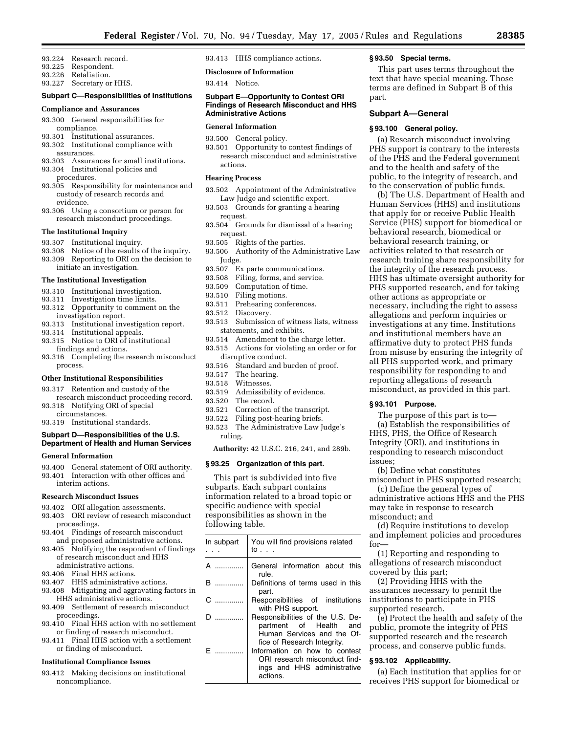- 93.224 Research record.
- 93.225 Respondent.
- 93.226 Retaliation.
- 93.227 Secretary or HHS.

# **Subpart C—Responsibilities of Institutions**

#### **Compliance and Assurances**

- 93.300 General responsibilities for compliance.
- 93.301 Institutional assurances.
- 93.302 Institutional compliance with assurances.
- 93.303 Assurances for small institutions. 93.304 Institutional policies and
- procedures. 93.305 Responsibility for maintenance and custody of research records and evidence.
- 93.306 Using a consortium or person for research misconduct proceedings.

#### **The Institutional Inquiry**

- 93.307 Institutional inquiry.
- 93.308 Notice of the results of the inquiry.
- 93.309 Reporting to ORI on the decision to initiate an investigation.

#### **The Institutional Investigation**

- 93.310 Institutional investigation.
- 93.311 Investigation time limits.
- 93.312 Opportunity to comment on the investigation report.
- 93.313 Institutional investigation report.
- 93.314 Institutional appeals.
- 93.315 Notice to ORI of institutional findings and actions.
- 93.316 Completing the research misconduct process.

#### **Other Institutional Responsibilities**

- 93.317 Retention and custody of the research misconduct proceeding record.
- 93.318 Notifying ORI of special circumstances.
- 93.319 Institutional standards.

## **Subpart D—Responsibilities of the U.S. Department of Health and Human Services**

## **General Information**

93.400 General statement of ORI authority. 93.401 Interaction with other offices and interim actions.

#### **Research Misconduct Issues**

- 93.402 ORI allegation assessments.
- 93.403 ORI review of research misconduct proceedings.
- 93.404 Findings of research misconduct and proposed administrative actions.
- 93.405 Notifying the respondent of findings of research misconduct and HHS administrative actions.
- 93.406 Final HHS actions.
- 93.407 HHS administrative actions.
- 93.408 Mitigating and aggravating factors in HHS administrative actions.
- 93.409 Settlement of research misconduct proceedings.
- 93.410 Final HHS action with no settlement or finding of research misconduct.
- 93.411 Final HHS action with a settlement or finding of misconduct.

#### **Institutional Compliance Issues**

93.412 Making decisions on institutional noncompliance.

93.413 HHS compliance actions.

**Disclosure of Information** 

93.414 Notice.

#### **Subpart E—Opportunity to Contest ORI Findings of Research Misconduct and HHS Administrative Actions**

#### **General Information**

- 93.500 General policy.
- 93.501 Opportunity to contest findings of research misconduct and administrative actions.

#### **Hearing Process**

- 93.502 Appointment of the Administrative Law Judge and scientific expert.
- 93.503 Grounds for granting a hearing request.
- 93.504 Grounds for dismissal of a hearing request.
- 93.505 Rights of the parties.
- 93.506 Authority of the Administrative Law Judge.
- 93.507 Ex parte communications.
- 93.508 Filing, forms, and service.
- 93.509 Computation of time.
- 93.510 Filing motions.
- 93.511 Prehearing conferences.
- 93.512 Discovery.
- 93.513 Submission of witness lists, witness statements, and exhibits.
- 93.514 Amendment to the charge letter.
- 93.515 Actions for violating an order or for disruptive conduct.
- 93.516 Standard and burden of proof.
- 93.517 The hearing.
- 93.518 Witnesses.
- 93.519 Admissibility of evidence.
- 93.520 The record.
- 93.521 Correction of the transcript.
- 93.522 Filing post-hearing briefs.
- 93.523 The Administrative Law Judge's ruling.

**Authority:** 42 U.S.C. 216, 241, and 289b.

#### **§ 93.25 Organization of this part.**

This part is subdivided into five subparts. Each subpart contains information related to a broad topic or specific audience with special responsibilities as shown in the following table.

| In subpart                                                                                                                                                                                                                                                                                                                                                                                            | You will find provisions related<br>to                                                                                  |
|-------------------------------------------------------------------------------------------------------------------------------------------------------------------------------------------------------------------------------------------------------------------------------------------------------------------------------------------------------------------------------------------------------|-------------------------------------------------------------------------------------------------------------------------|
| $\overline{\mathsf{A}}$ and $\overline{\mathsf{A}}$ and $\overline{\mathsf{A}}$ and $\overline{\mathsf{A}}$ and $\overline{\mathsf{A}}$ and $\overline{\mathsf{A}}$ and $\overline{\mathsf{A}}$ and $\overline{\mathsf{A}}$ and $\overline{\mathsf{A}}$ and $\overline{\mathsf{A}}$ and $\overline{\mathsf{A}}$ and $\overline{\mathsf{A}}$ and $\overline{\mathsf{A}}$ and $\overline{\mathsf{A}}$ a | General information about this<br>rule.                                                                                 |
| <b>B</b>                                                                                                                                                                                                                                                                                                                                                                                              | Definitions of terms used in this<br>part.                                                                              |
| $\mathbf{c}$ and $\mathbf{c}$                                                                                                                                                                                                                                                                                                                                                                         | Responsibilities of institutions<br>with PHS support.                                                                   |
|                                                                                                                                                                                                                                                                                                                                                                                                       | Responsibilities of the U.S. De-<br>partment of Health and<br>Human Services and the Of-<br>fice of Research Integrity. |
| F                                                                                                                                                                                                                                                                                                                                                                                                     | Information on how to contest<br>ORI research misconduct find-<br>ings and HHS administrative<br>actions.               |

#### **§ 93.50 Special terms.**

This part uses terms throughout the text that have special meaning. Those terms are defined in Subpart B of this part.

#### **Subpart A—General**

#### **§ 93.100 General policy.**

(a) Research misconduct involving PHS support is contrary to the interests of the PHS and the Federal government and to the health and safety of the public, to the integrity of research, and to the conservation of public funds.

(b) The U.S. Department of Health and Human Services (HHS) and institutions that apply for or receive Public Health Service (PHS) support for biomedical or behavioral research, biomedical or behavioral research training, or activities related to that research or research training share responsibility for the integrity of the research process. HHS has ultimate oversight authority for PHS supported research, and for taking other actions as appropriate or necessary, including the right to assess allegations and perform inquiries or investigations at any time. Institutions and institutional members have an affirmative duty to protect PHS funds from misuse by ensuring the integrity of all PHS supported work, and primary responsibility for responding to and reporting allegations of research misconduct, as provided in this part.

#### **§ 93.101 Purpose.**

The purpose of this part is to— (a) Establish the responsibilities of HHS, PHS, the Office of Research Integrity (ORI), and institutions in responding to research misconduct issues;

(b) Define what constitutes misconduct in PHS supported research;

(c) Define the general types of administrative actions HHS and the PHS may take in response to research misconduct; and

(d) Require institutions to develop and implement policies and procedures for—

(1) Reporting and responding to allegations of research misconduct covered by this part;

(2) Providing HHS with the assurances necessary to permit the institutions to participate in PHS supported research.

(e) Protect the health and safety of the public, promote the integrity of PHS supported research and the research process, and conserve public funds.

#### **§ 93.102 Applicability.**

(a) Each institution that applies for or receives PHS support for biomedical or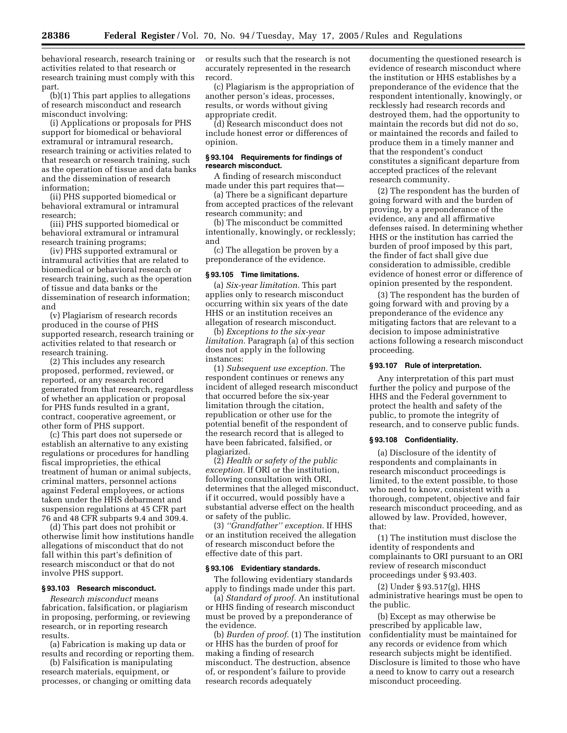behavioral research, research training or activities related to that research or research training must comply with this part.

(b)(1) This part applies to allegations of research misconduct and research misconduct involving:

(i) Applications or proposals for PHS support for biomedical or behavioral extramural or intramural research, research training or activities related to that research or research training, such as the operation of tissue and data banks and the dissemination of research information;

(ii) PHS supported biomedical or behavioral extramural or intramural research;

(iii) PHS supported biomedical or behavioral extramural or intramural research training programs;

(iv) PHS supported extramural or intramural activities that are related to biomedical or behavioral research or research training, such as the operation of tissue and data banks or the dissemination of research information; and

(v) Plagiarism of research records produced in the course of PHS supported research, research training or activities related to that research or research training.

(2) This includes any research proposed, performed, reviewed, or reported, or any research record generated from that research, regardless of whether an application or proposal for PHS funds resulted in a grant, contract, cooperative agreement, or other form of PHS support.

(c) This part does not supersede or establish an alternative to any existing regulations or procedures for handling fiscal improprieties, the ethical treatment of human or animal subjects, criminal matters, personnel actions against Federal employees, or actions taken under the HHS debarment and suspension regulations at 45 CFR part 76 and 48 CFR subparts 9.4 and 309.4.

(d) This part does not prohibit or otherwise limit how institutions handle allegations of misconduct that do not fall within this part's definition of research misconduct or that do not involve PHS support.

#### **§ 93.103 Research misconduct.**

*Research misconduct* means fabrication, falsification, or plagiarism in proposing, performing, or reviewing research, or in reporting research results.

(a) Fabrication is making up data or results and recording or reporting them.

(b) Falsification is manipulating research materials, equipment, or processes, or changing or omitting data or results such that the research is not accurately represented in the research record.

(c) Plagiarism is the appropriation of another person's ideas, processes, results, or words without giving appropriate credit.

(d) Research misconduct does not include honest error or differences of opinion.

#### **§ 93.104 Requirements for findings of research misconduct.**

A finding of research misconduct made under this part requires that—

(a) There be a significant departure from accepted practices of the relevant research community; and

(b) The misconduct be committed intentionally, knowingly, or recklessly; and

(c) The allegation be proven by a preponderance of the evidence.

# **§ 93.105 Time limitations.**

(a) *Six-year limitation.* This part applies only to research misconduct occurring within six years of the date HHS or an institution receives an allegation of research misconduct.

(b) *Exceptions to the six-year limitation.* Paragraph (a) of this section does not apply in the following instances:

(1) *Subsequent use exception.* The respondent continues or renews any incident of alleged research misconduct that occurred before the six-year limitation through the citation, republication or other use for the potential benefit of the respondent of the research record that is alleged to have been fabricated, falsified, or plagiarized.

(2) *Health or safety of the public exception.* If ORI or the institution, following consultation with ORI, determines that the alleged misconduct, if it occurred, would possibly have a substantial adverse effect on the health or safety of the public.

(3) *''Grandfather'' exception.* If HHS or an institution received the allegation of research misconduct before the effective date of this part.

#### **§ 93.106 Evidentiary standards.**

The following evidentiary standards apply to findings made under this part.

(a) *Standard of proof.* An institutional or HHS finding of research misconduct must be proved by a preponderance of the evidence.

(b) *Burden of proof.* (1) The institution or HHS has the burden of proof for making a finding of research misconduct. The destruction, absence of, or respondent's failure to provide research records adequately

documenting the questioned research is evidence of research misconduct where the institution or HHS establishes by a preponderance of the evidence that the respondent intentionally, knowingly, or recklessly had research records and destroyed them, had the opportunity to maintain the records but did not do so, or maintained the records and failed to produce them in a timely manner and that the respondent's conduct constitutes a significant departure from accepted practices of the relevant research community.

(2) The respondent has the burden of going forward with and the burden of proving, by a preponderance of the evidence, any and all affirmative defenses raised. In determining whether HHS or the institution has carried the burden of proof imposed by this part, the finder of fact shall give due consideration to admissible, credible evidence of honest error or difference of opinion presented by the respondent.

(3) The respondent has the burden of going forward with and proving by a preponderance of the evidence any mitigating factors that are relevant to a decision to impose administrative actions following a research misconduct proceeding.

#### **§ 93.107 Rule of interpretation.**

Any interpretation of this part must further the policy and purpose of the HHS and the Federal government to protect the health and safety of the public, to promote the integrity of research, and to conserve public funds.

# **§ 93.108 Confidentiality.**

(a) Disclosure of the identity of respondents and complainants in research misconduct proceedings is limited, to the extent possible, to those who need to know, consistent with a thorough, competent, objective and fair research misconduct proceeding, and as allowed by law. Provided, however, that:

(1) The institution must disclose the identity of respondents and complainants to ORI pursuant to an ORI review of research misconduct proceedings under § 93.403.

(2) Under § 93.517(g), HHS administrative hearings must be open to the public.

(b) Except as may otherwise be prescribed by applicable law, confidentiality must be maintained for any records or evidence from which research subjects might be identified. Disclosure is limited to those who have a need to know to carry out a research misconduct proceeding.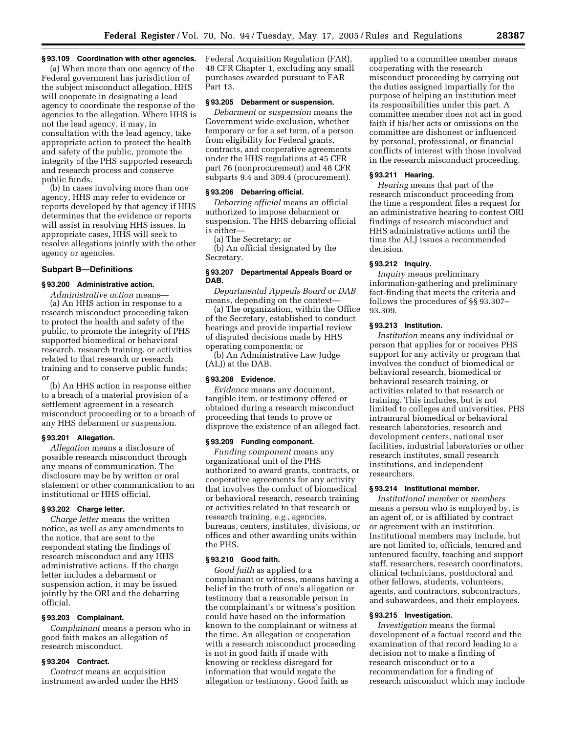## **§ 93.109 Coordination with other agencies.**

(a) When more than one agency of the Federal government has jurisdiction of the subject misconduct allegation, HHS will cooperate in designating a lead agency to coordinate the response of the agencies to the allegation. Where HHS is not the lead agency, it may, in consultation with the lead agency, take appropriate action to protect the health and safety of the public, promote the integrity of the PHS supported research and research process and conserve public funds.

(b) In cases involving more than one agency, HHS may refer to evidence or reports developed by that agency if HHS determines that the evidence or reports will assist in resolving HHS issues. In appropriate cases, HHS will seek to resolve allegations jointly with the other agency or agencies.

## **Subpart B—Definitions**

#### **§ 93.200 Administrative action.**

*Administrative action* means— (a) An HHS action in response to a research misconduct proceeding taken to protect the health and safety of the public, to promote the integrity of PHS supported biomedical or behavioral research, research training, or activities related to that research or research training and to conserve public funds; or

(b) An HHS action in response either to a breach of a material provision of a settlement agreement in a research misconduct proceeding or to a breach of any HHS debarment or suspension.

#### **§ 93.201 Allegation.**

*Allegation* means a disclosure of possible research misconduct through any means of communication. The disclosure may be by written or oral statement or other communication to an institutional or HHS official.

#### **§ 93.202 Charge letter.**

*Charge letter* means the written notice, as well as any amendments to the notice, that are sent to the respondent stating the findings of research misconduct and any HHS administrative actions. If the charge letter includes a debarment or suspension action, it may be issued jointly by the ORI and the debarring official.

#### **§ 93.203 Complainant.**

*Complainant* means a person who in good faith makes an allegation of research misconduct.

## **§ 93.204 Contract.**

*Contract* means an acquisition instrument awarded under the HHS Federal Acquisition Regulation (FAR), 48 CFR Chapter 1, excluding any small purchases awarded pursuant to FAR Part 13.

# **§ 93.205 Debarment or suspension.**

*Debarment* or *suspension* means the Government wide exclusion, whether temporary or for a set term, of a person from eligibility for Federal grants, contracts, and cooperative agreements under the HHS regulations at 45 CFR part 76 (nonprocurement) and 48 CFR subparts 9.4 and 309.4 (procurement).

# **§ 93.206 Debarring official.**

*Debarring official* means an official authorized to impose debarment or suspension. The HHS debarring official is either—

(a) The Secretary; or

(b) An official designated by the Secretary.

#### **§ 93.207 Departmental Appeals Board or DAB.**

*Departmental Appeals Board* or *DAB*  means, depending on the context—

(a) The organization, within the Office of the Secretary, established to conduct hearings and provide impartial review of disputed decisions made by HHS operating components; or

(b) An Administrative Law Judge (ALJ) at the DAB.

#### **§ 93.208 Evidence.**

*Evidence* means any document, tangible item, or testimony offered or obtained during a research misconduct proceeding that tends to prove or disprove the existence of an alleged fact.

## **§ 93.209 Funding component.**

*Funding component* means any organizational unit of the PHS authorized to award grants, contracts, or cooperative agreements for any activity that involves the conduct of biomedical or behavioral research, research training or activities related to that research or research training, *e.g.*, agencies, bureaus, centers, institutes, divisions, or offices and other awarding units within the PHS.

#### **§ 93.210 Good faith.**

*Good faith* as applied to a complainant or witness, means having a belief in the truth of one's allegation or testimony that a reasonable person in the complainant's or witness's position could have based on the information known to the complainant or witness at the time. An allegation or cooperation with a research misconduct proceeding is not in good faith if made with knowing or reckless disregard for information that would negate the allegation or testimony. Good faith as

applied to a committee member means cooperating with the research misconduct proceeding by carrying out the duties assigned impartially for the purpose of helping an institution meet its responsibilities under this part. A committee member does not act in good faith if his/her acts or omissions on the committee are dishonest or influenced by personal, professional, or financial conflicts of interest with those involved in the research misconduct proceeding.

#### **§ 93.211 Hearing.**

*Hearing* means that part of the research misconduct proceeding from the time a respondent files a request for an administrative hearing to contest ORI findings of research misconduct and HHS administrative actions until the time the ALJ issues a recommended decision.

## **§ 93.212 Inquiry.**

*Inquiry* means preliminary information-gathering and preliminary fact-finding that meets the criteria and follows the procedures of §§ 93.307– 93.309.

## **§ 93.213 Institution.**

*Institution* means any individual or person that applies for or receives PHS support for any activity or program that involves the conduct of biomedical or behavioral research, biomedical or behavioral research training, or activities related to that research or training. This includes, but is not limited to colleges and universities, PHS intramural biomedical or behavioral research laboratories, research and development centers, national user facilities, industrial laboratories or other research institutes, small research institutions, and independent researchers.

# **§ 93.214 Institutional member.**

*Institutional member* or *members*  means a person who is employed by, is an agent of, or is affiliated by contract or agreement with an institution. Institutional members may include, but are not limited to, officials, tenured and untenured faculty, teaching and support staff, researchers, research coordinators, clinical technicians, postdoctoral and other fellows, students, volunteers, agents, and contractors, subcontractors, and subawardees, and their employees.

#### **§ 93.215 Investigation.**

*Investigation* means the formal development of a factual record and the examination of that record leading to a decision not to make a finding of research misconduct or to a recommendation for a finding of research misconduct which may include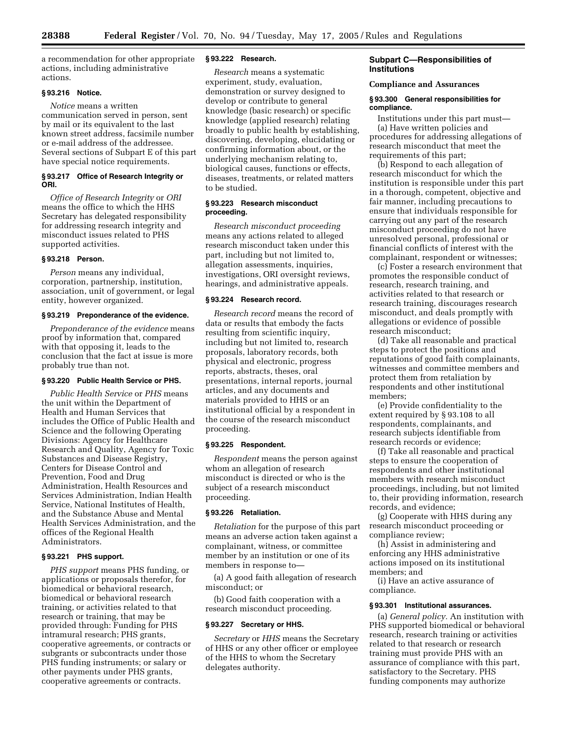a recommendation for other appropriate actions, including administrative actions.

#### **§ 93.216 Notice.**

*Notice* means a written communication served in person, sent by mail or its equivalent to the last known street address, facsimile number or e-mail address of the addressee. Several sections of Subpart E of this part have special notice requirements.

# **§ 93.217 Office of Research Integrity or ORI.**

*Office of Research Integrity* or *ORI*  means the office to which the HHS Secretary has delegated responsibility for addressing research integrity and misconduct issues related to PHS supported activities.

## **§ 93.218 Person.**

*Person* means any individual, corporation, partnership, institution, association, unit of government, or legal entity, however organized.

## **§ 93.219 Preponderance of the evidence.**

*Preponderance of the evidence* means proof by information that, compared with that opposing it, leads to the conclusion that the fact at issue is more probably true than not.

#### **§ 93.220 Public Health Service or PHS.**

*Public Health Service* or *PHS* means the unit within the Department of Health and Human Services that includes the Office of Public Health and Science and the following Operating Divisions: Agency for Healthcare Research and Quality, Agency for Toxic Substances and Disease Registry, Centers for Disease Control and Prevention, Food and Drug Administration, Health Resources and Services Administration, Indian Health Service, National Institutes of Health, and the Substance Abuse and Mental Health Services Administration, and the offices of the Regional Health Administrators.

## **§ 93.221 PHS support.**

*PHS support* means PHS funding, or applications or proposals therefor, for biomedical or behavioral research, biomedical or behavioral research training, or activities related to that research or training, that may be provided through: Funding for PHS intramural research; PHS grants, cooperative agreements, or contracts or subgrants or subcontracts under those PHS funding instruments; or salary or other payments under PHS grants, cooperative agreements or contracts.

#### **§ 93.222 Research.**

*Research* means a systematic experiment, study, evaluation, demonstration or survey designed to develop or contribute to general knowledge (basic research) or specific knowledge (applied research) relating broadly to public health by establishing, discovering, developing, elucidating or confirming information about, or the underlying mechanism relating to, biological causes, functions or effects, diseases, treatments, or related matters to be studied.

# **§ 93.223 Research misconduct proceeding.**

*Research misconduct proceeding*  means any actions related to alleged research misconduct taken under this part, including but not limited to, allegation assessments, inquiries, investigations, ORI oversight reviews, hearings, and administrative appeals.

#### **§ 93.224 Research record.**

*Research record* means the record of data or results that embody the facts resulting from scientific inquiry, including but not limited to, research proposals, laboratory records, both physical and electronic, progress reports, abstracts, theses, oral presentations, internal reports, journal articles, and any documents and materials provided to HHS or an institutional official by a respondent in the course of the research misconduct proceeding.

## **§ 93.225 Respondent.**

*Respondent* means the person against whom an allegation of research misconduct is directed or who is the subject of a research misconduct proceeding.

#### **§ 93.226 Retaliation.**

*Retaliation* for the purpose of this part means an adverse action taken against a complainant, witness, or committee member by an institution or one of its members in response to—

(a) A good faith allegation of research misconduct; or

(b) Good faith cooperation with a research misconduct proceeding.

#### **§ 93.227 Secretary or HHS.**

*Secretary* or *HHS* means the Secretary of HHS or any other officer or employee of the HHS to whom the Secretary delegates authority.

#### **Subpart C—Responsibilities of Institutions**

#### **Compliance and Assurances**

#### **§ 93.300 General responsibilities for compliance.**

Institutions under this part must— (a) Have written policies and procedures for addressing allegations of research misconduct that meet the requirements of this part;

(b) Respond to each allegation of research misconduct for which the institution is responsible under this part in a thorough, competent, objective and fair manner, including precautions to ensure that individuals responsible for carrying out any part of the research misconduct proceeding do not have unresolved personal, professional or financial conflicts of interest with the complainant, respondent or witnesses;

(c) Foster a research environment that promotes the responsible conduct of research, research training, and activities related to that research or research training, discourages research misconduct, and deals promptly with allegations or evidence of possible research misconduct;

(d) Take all reasonable and practical steps to protect the positions and reputations of good faith complainants, witnesses and committee members and protect them from retaliation by respondents and other institutional members;

(e) Provide confidentiality to the extent required by § 93.108 to all respondents, complainants, and research subjects identifiable from research records or evidence;

(f) Take all reasonable and practical steps to ensure the cooperation of respondents and other institutional members with research misconduct proceedings, including, but not limited to, their providing information, research records, and evidence;

(g) Cooperate with HHS during any research misconduct proceeding or compliance review;

(h) Assist in administering and enforcing any HHS administrative actions imposed on its institutional members; and

(i) Have an active assurance of compliance.

#### **§ 93.301 Institutional assurances.**

(a) *General policy.* An institution with PHS supported biomedical or behavioral research, research training or activities related to that research or research training must provide PHS with an assurance of compliance with this part, satisfactory to the Secretary. PHS funding components may authorize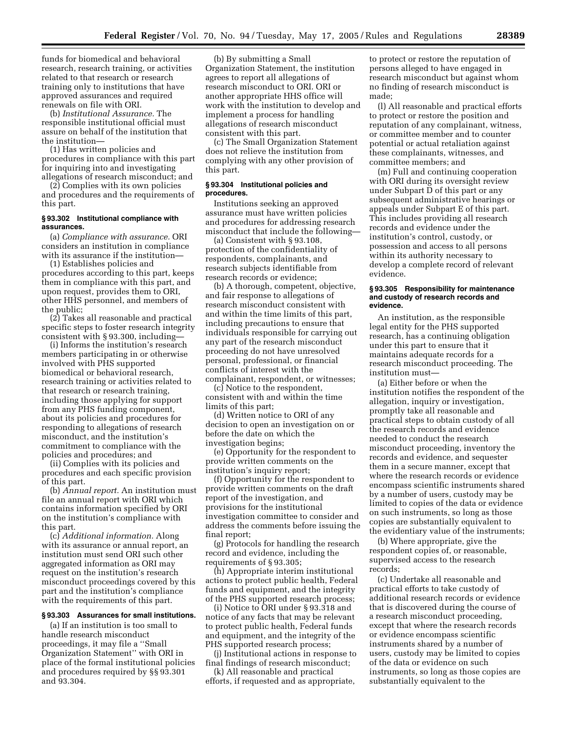funds for biomedical and behavioral research, research training, or activities related to that research or research training only to institutions that have approved assurances and required renewals on file with ORI.

(b) *Institutional Assurance.* The responsible institutional official must assure on behalf of the institution that the institution—

(1) Has written policies and procedures in compliance with this part for inquiring into and investigating allegations of research misconduct; and

(2) Complies with its own policies and procedures and the requirements of this part.

## **§ 93.302 Institutional compliance with assurances.**

(a) *Compliance with assurance.* ORI considers an institution in compliance with its assurance if the institution—

(1) Establishes policies and procedures according to this part, keeps them in compliance with this part, and upon request, provides them to ORI, other HHS personnel, and members of the public;

(2) Takes all reasonable and practical specific steps to foster research integrity consistent with § 93.300, including—

(i) Informs the institution's research members participating in or otherwise involved with PHS supported biomedical or behavioral research, research training or activities related to that research or research training, including those applying for support from any PHS funding component, about its policies and procedures for responding to allegations of research misconduct, and the institution's commitment to compliance with the policies and procedures; and

(ii) Complies with its policies and procedures and each specific provision of this part.

(b) *Annual report.* An institution must file an annual report with ORI which contains information specified by ORI on the institution's compliance with this part.

(c) *Additional information.* Along with its assurance or annual report, an institution must send ORI such other aggregated information as ORI may request on the institution's research misconduct proceedings covered by this part and the institution's compliance with the requirements of this part.

# **§ 93.303 Assurances for small institutions.**

(a) If an institution is too small to handle research misconduct proceedings, it may file a ''Small Organization Statement'' with ORI in place of the formal institutional policies and procedures required by §§ 93.301 and 93.304.

(b) By submitting a Small Organization Statement, the institution agrees to report all allegations of research misconduct to ORI. ORI or another appropriate HHS office will work with the institution to develop and implement a process for handling allegations of research misconduct consistent with this part.

(c) The Small Organization Statement does not relieve the institution from complying with any other provision of this part.

#### **§ 93.304 Institutional policies and procedures.**

Institutions seeking an approved assurance must have written policies and procedures for addressing research misconduct that include the following—

(a) Consistent with § 93.108, protection of the confidentiality of respondents, complainants, and research subjects identifiable from research records or evidence;

(b) A thorough, competent, objective, and fair response to allegations of research misconduct consistent with and within the time limits of this part, including precautions to ensure that individuals responsible for carrying out any part of the research misconduct proceeding do not have unresolved personal, professional, or financial conflicts of interest with the complainant, respondent, or witnesses;

(c) Notice to the respondent, consistent with and within the time limits of this part;

(d) Written notice to ORI of any decision to open an investigation on or before the date on which the investigation begins;

(e) Opportunity for the respondent to provide written comments on the institution's inquiry report;

(f) Opportunity for the respondent to provide written comments on the draft report of the investigation, and provisions for the institutional investigation committee to consider and address the comments before issuing the final report;

(g) Protocols for handling the research record and evidence, including the requirements of § 93.305;

(h) Appropriate interim institutional actions to protect public health, Federal funds and equipment, and the integrity of the PHS supported research process;

(i) Notice to ORI under § 93.318 and notice of any facts that may be relevant to protect public health, Federal funds and equipment, and the integrity of the PHS supported research process;

(j) Institutional actions in response to final findings of research misconduct;

(k) All reasonable and practical efforts, if requested and as appropriate, to protect or restore the reputation of persons alleged to have engaged in research misconduct but against whom no finding of research misconduct is made;

(l) All reasonable and practical efforts to protect or restore the position and reputation of any complainant, witness, or committee member and to counter potential or actual retaliation against these complainants, witnesses, and committee members; and

(m) Full and continuing cooperation with ORI during its oversight review under Subpart D of this part or any subsequent administrative hearings or appeals under Subpart E of this part. This includes providing all research records and evidence under the institution's control, custody, or possession and access to all persons within its authority necessary to develop a complete record of relevant evidence.

#### **§ 93.305 Responsibility for maintenance and custody of research records and evidence.**

An institution, as the responsible legal entity for the PHS supported research, has a continuing obligation under this part to ensure that it maintains adequate records for a research misconduct proceeding. The institution must—

(a) Either before or when the institution notifies the respondent of the allegation, inquiry or investigation, promptly take all reasonable and practical steps to obtain custody of all the research records and evidence needed to conduct the research misconduct proceeding, inventory the records and evidence, and sequester them in a secure manner, except that where the research records or evidence encompass scientific instruments shared by a number of users, custody may be limited to copies of the data or evidence on such instruments, so long as those copies are substantially equivalent to the evidentiary value of the instruments;

(b) Where appropriate, give the respondent copies of, or reasonable, supervised access to the research records;

(c) Undertake all reasonable and practical efforts to take custody of additional research records or evidence that is discovered during the course of a research misconduct proceeding, except that where the research records or evidence encompass scientific instruments shared by a number of users, custody may be limited to copies of the data or evidence on such instruments, so long as those copies are substantially equivalent to the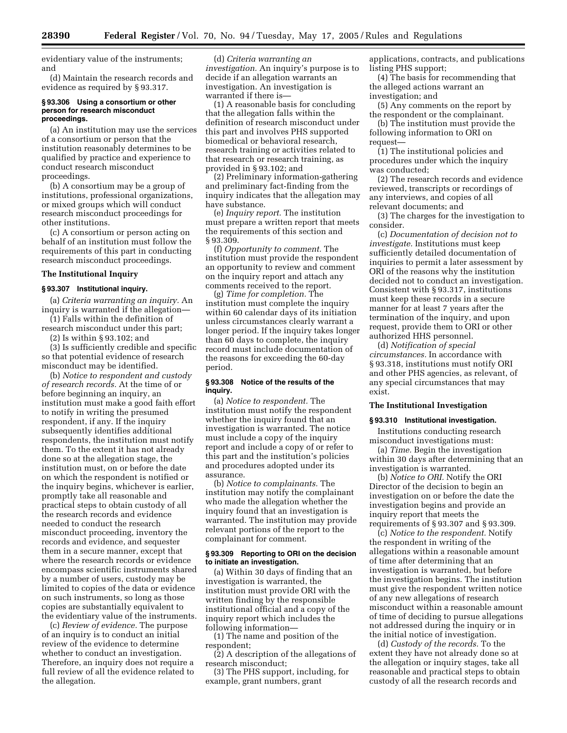evidentiary value of the instruments; and

(d) Maintain the research records and evidence as required by § 93.317.

#### **§ 93.306 Using a consortium or other person for research misconduct proceedings.**

(a) An institution may use the services of a consortium or person that the institution reasonably determines to be qualified by practice and experience to conduct research misconduct proceedings.

(b) A consortium may be a group of institutions, professional organizations, or mixed groups which will conduct research misconduct proceedings for other institutions.

(c) A consortium or person acting on behalf of an institution must follow the requirements of this part in conducting research misconduct proceedings.

#### **The Institutional Inquiry**

# **§ 93.307 Institutional inquiry.**

(a) *Criteria warranting an inquiry.* An inquiry is warranted if the allegation—

(1) Falls within the definition of research misconduct under this part;

(2) Is within § 93.102; and

(3) Is sufficiently credible and specific so that potential evidence of research misconduct may be identified.

(b) *Notice to respondent and custody of research records.* At the time of or before beginning an inquiry, an institution must make a good faith effort to notify in writing the presumed respondent, if any. If the inquiry subsequently identifies additional respondents, the institution must notify them. To the extent it has not already done so at the allegation stage, the institution must, on or before the date on which the respondent is notified or the inquiry begins, whichever is earlier, promptly take all reasonable and practical steps to obtain custody of all the research records and evidence needed to conduct the research misconduct proceeding, inventory the records and evidence, and sequester them in a secure manner, except that where the research records or evidence encompass scientific instruments shared by a number of users, custody may be limited to copies of the data or evidence on such instruments, so long as those copies are substantially equivalent to the evidentiary value of the instruments.

(c) *Review of evidence.* The purpose of an inquiry is to conduct an initial review of the evidence to determine whether to conduct an investigation. Therefore, an inquiry does not require a full review of all the evidence related to the allegation.

(d) *Criteria warranting an investigation.* An inquiry's purpose is to decide if an allegation warrants an investigation. An investigation is warranted if there is—

(1) A reasonable basis for concluding that the allegation falls within the definition of research misconduct under this part and involves PHS supported biomedical or behavioral research, research training or activities related to that research or research training, as provided in § 93.102; and

(2) Preliminary information-gathering and preliminary fact-finding from the inquiry indicates that the allegation may have substance.

(e) *Inquiry report.* The institution must prepare a written report that meets the requirements of this section and § 93.309.

(f) *Opportunity to comment.* The institution must provide the respondent an opportunity to review and comment on the inquiry report and attach any comments received to the report.

(g) *Time for completion.* The institution must complete the inquiry within 60 calendar days of its initiation unless circumstances clearly warrant a longer period. If the inquiry takes longer than 60 days to complete, the inquiry record must include documentation of the reasons for exceeding the 60-day period.

#### **§ 93.308 Notice of the results of the inquiry.**

(a) *Notice to respondent.* The institution must notify the respondent whether the inquiry found that an investigation is warranted. The notice must include a copy of the inquiry report and include a copy of or refer to this part and the institution's policies and procedures adopted under its assurance.

(b) *Notice to complainants.* The institution may notify the complainant who made the allegation whether the inquiry found that an investigation is warranted. The institution may provide relevant portions of the report to the complainant for comment.

#### **§ 93.309 Reporting to ORI on the decision to initiate an investigation.**

(a) Within 30 days of finding that an investigation is warranted, the institution must provide ORI with the written finding by the responsible institutional official and a copy of the inquiry report which includes the following information—

(1) The name and position of the respondent;

(2) A description of the allegations of research misconduct;

(3) The PHS support, including, for example, grant numbers, grant

applications, contracts, and publications listing PHS support;

(4) The basis for recommending that the alleged actions warrant an investigation; and

(5) Any comments on the report by the respondent or the complainant.

(b) The institution must provide the following information to ORI on request—

(1) The institutional policies and procedures under which the inquiry was conducted;

(2) The research records and evidence reviewed, transcripts or recordings of any interviews, and copies of all relevant documents; and

(3) The charges for the investigation to consider.

(c) *Documentation of decision not to investigate.* Institutions must keep sufficiently detailed documentation of inquiries to permit a later assessment by ORI of the reasons why the institution decided not to conduct an investigation. Consistent with § 93.317, institutions must keep these records in a secure manner for at least 7 years after the termination of the inquiry, and upon request, provide them to ORI or other authorized HHS personnel.

(d) *Notification of special circumstances.* In accordance with § 93.318, institutions must notify ORI and other PHS agencies, as relevant, of any special circumstances that may exist.

# **The Institutional Investigation**

## **§ 93.310 Institutional investigation.**

Institutions conducting research misconduct investigations must:

(a) *Time.* Begin the investigation within 30 days after determining that an investigation is warranted.

(b) *Notice to ORI.* Notify the ORI Director of the decision to begin an investigation on or before the date the investigation begins and provide an inquiry report that meets the requirements of § 93.307 and § 93.309.

(c) *Notice to the respondent.* Notify the respondent in writing of the allegations within a reasonable amount of time after determining that an investigation is warranted, but before the investigation begins. The institution must give the respondent written notice of any new allegations of research misconduct within a reasonable amount of time of deciding to pursue allegations not addressed during the inquiry or in the initial notice of investigation.

(d) *Custody of the records.* To the extent they have not already done so at the allegation or inquiry stages, take all reasonable and practical steps to obtain custody of all the research records and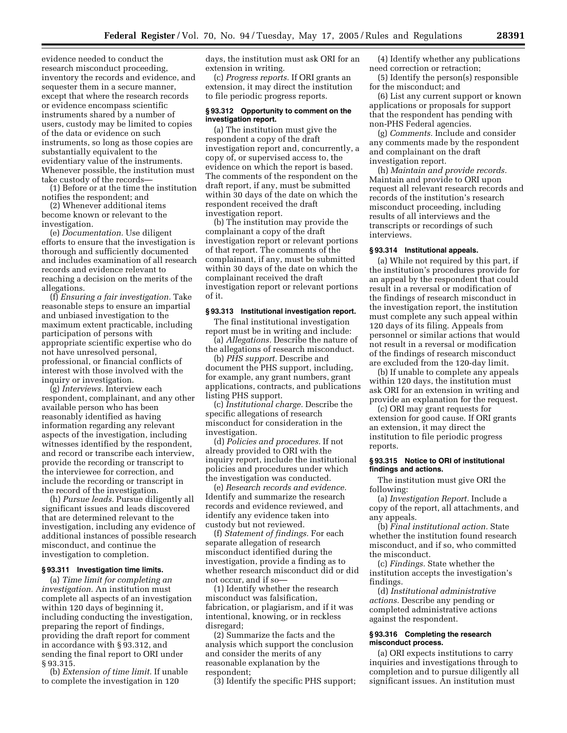evidence needed to conduct the research misconduct proceeding, inventory the records and evidence, and sequester them in a secure manner, except that where the research records or evidence encompass scientific instruments shared by a number of users, custody may be limited to copies of the data or evidence on such instruments, so long as those copies are substantially equivalent to the evidentiary value of the instruments. Whenever possible, the institution must take custody of the records—

(1) Before or at the time the institution notifies the respondent; and

(2) Whenever additional items become known or relevant to the investigation.

(e) *Documentation.* Use diligent efforts to ensure that the investigation is thorough and sufficiently documented and includes examination of all research records and evidence relevant to reaching a decision on the merits of the allegations.

(f) *Ensuring a fair investigation.* Take reasonable steps to ensure an impartial and unbiased investigation to the maximum extent practicable, including participation of persons with appropriate scientific expertise who do not have unresolved personal, professional, or financial conflicts of interest with those involved with the inquiry or investigation.

(g) *Interviews.* Interview each respondent, complainant, and any other available person who has been reasonably identified as having information regarding any relevant aspects of the investigation, including witnesses identified by the respondent, and record or transcribe each interview, provide the recording or transcript to the interviewee for correction, and include the recording or transcript in the record of the investigation.

(h) *Pursue leads.* Pursue diligently all significant issues and leads discovered that are determined relevant to the investigation, including any evidence of additional instances of possible research misconduct, and continue the investigation to completion.

#### **§ 93.311 Investigation time limits.**

(a) *Time limit for completing an investigation.* An institution must complete all aspects of an investigation within 120 days of beginning it, including conducting the investigation, preparing the report of findings, providing the draft report for comment in accordance with § 93.312, and sending the final report to ORI under § 93.315.

(b) *Extension of time limit.* If unable to complete the investigation in 120

days, the institution must ask ORI for an extension in writing.

(c) *Progress reports.* If ORI grants an extension, it may direct the institution to file periodic progress reports.

#### **§ 93.312 Opportunity to comment on the investigation report.**

(a) The institution must give the respondent a copy of the draft investigation report and, concurrently, a copy of, or supervised access to, the evidence on which the report is based. The comments of the respondent on the draft report, if any, must be submitted within 30 days of the date on which the respondent received the draft investigation report.

(b) The institution may provide the complainant a copy of the draft investigation report or relevant portions of that report. The comments of the complainant, if any, must be submitted within 30 days of the date on which the complainant received the draft investigation report or relevant portions of it.

#### **§ 93.313 Institutional investigation report.**

The final institutional investigation report must be in writing and include:

(a) *Allegations.* Describe the nature of the allegations of research misconduct.

(b) *PHS support.* Describe and document the PHS support, including, for example, any grant numbers, grant applications, contracts, and publications listing PHS support.

(c) *Institutional charge.* Describe the specific allegations of research misconduct for consideration in the investigation.

(d) *Policies and procedures.* If not already provided to ORI with the inquiry report, include the institutional policies and procedures under which the investigation was conducted.

(e) *Research records and evidence.*  Identify and summarize the research records and evidence reviewed, and identify any evidence taken into custody but not reviewed.

(f) *Statement of findings.* For each separate allegation of research misconduct identified during the investigation, provide a finding as to whether research misconduct did or did not occur, and if so—

(1) Identify whether the research misconduct was falsification, fabrication, or plagiarism, and if it was intentional, knowing, or in reckless disregard;

(2) Summarize the facts and the analysis which support the conclusion and consider the merits of any reasonable explanation by the respondent;

(3) Identify the specific PHS support;

(4) Identify whether any publications need correction or retraction;

(5) Identify the person(s) responsible for the misconduct; and

(6) List any current support or known applications or proposals for support that the respondent has pending with non-PHS Federal agencies.

(g) *Comments.* Include and consider any comments made by the respondent and complainant on the draft investigation report.

(h) *Maintain and provide records.*  Maintain and provide to ORI upon request all relevant research records and records of the institution's research misconduct proceeding, including results of all interviews and the transcripts or recordings of such interviews.

#### **§ 93.314 Institutional appeals.**

(a) While not required by this part, if the institution's procedures provide for an appeal by the respondent that could result in a reversal or modification of the findings of research misconduct in the investigation report, the institution must complete any such appeal within 120 days of its filing. Appeals from personnel or similar actions that would not result in a reversal or modification of the findings of research misconduct are excluded from the 120-day limit.

(b) If unable to complete any appeals within 120 days, the institution must ask ORI for an extension in writing and provide an explanation for the request.

(c) ORI may grant requests for extension for good cause. If ORI grants an extension, it may direct the institution to file periodic progress reports.

#### **§ 93.315 Notice to ORI of institutional findings and actions.**

The institution must give ORI the following:

(a) *Investigation Report.* Include a copy of the report, all attachments, and any appeals.

(b) *Final institutional action.* State whether the institution found research misconduct, and if so, who committed the misconduct.

(c) *Findings.* State whether the institution accepts the investigation's findings.

(d) *Institutional administrative actions.* Describe any pending or completed administrative actions against the respondent.

# **§ 93.316 Completing the research misconduct process.**

(a) ORI expects institutions to carry inquiries and investigations through to completion and to pursue diligently all significant issues. An institution must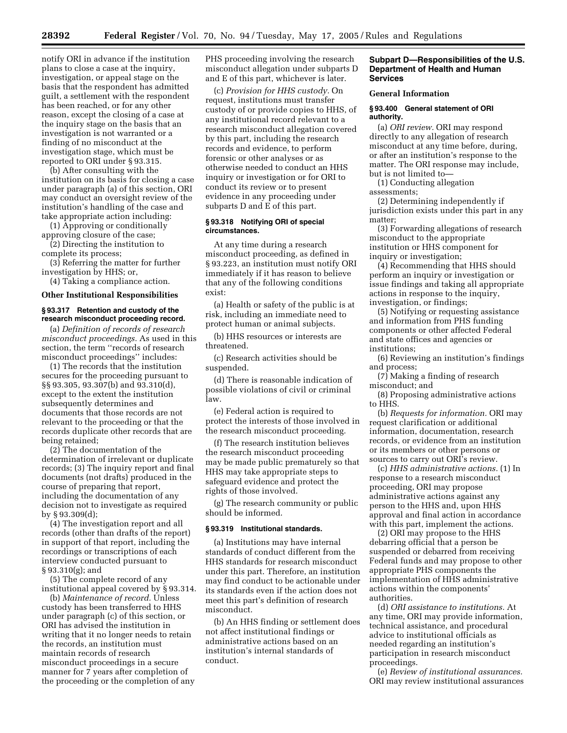notify ORI in advance if the institution plans to close a case at the inquiry, investigation, or appeal stage on the basis that the respondent has admitted guilt, a settlement with the respondent has been reached, or for any other reason, except the closing of a case at the inquiry stage on the basis that an investigation is not warranted or a finding of no misconduct at the investigation stage, which must be reported to ORI under § 93.315.

(b) After consulting with the institution on its basis for closing a case under paragraph (a) of this section, ORI may conduct an oversight review of the institution's handling of the case and take appropriate action including:

(1) Approving or conditionally approving closure of the case;

(2) Directing the institution to complete its process;

(3) Referring the matter for further investigation by HHS; or,

(4) Taking a compliance action.

# **Other Institutional Responsibilities**

#### **§ 93.317 Retention and custody of the research misconduct proceeding record.**

(a) *Definition of records of research misconduct proceedings.* As used in this section, the term ''records of research misconduct proceedings'' includes:

(1) The records that the institution secures for the proceeding pursuant to §§ 93.305, 93.307(b) and 93.310(d), except to the extent the institution subsequently determines and documents that those records are not relevant to the proceeding or that the records duplicate other records that are being retained;

(2) The documentation of the determination of irrelevant or duplicate records; (3) The inquiry report and final documents (not drafts) produced in the course of preparing that report, including the documentation of any decision not to investigate as required by § 93.309(d);

(4) The investigation report and all records (other than drafts of the report) in support of that report, including the recordings or transcriptions of each interview conducted pursuant to § 93.310(g); and

(5) The complete record of any institutional appeal covered by § 93.314.

(b) *Maintenance of record.* Unless custody has been transferred to HHS under paragraph (c) of this section, or ORI has advised the institution in writing that it no longer needs to retain the records, an institution must maintain records of research misconduct proceedings in a secure manner for 7 years after completion of the proceeding or the completion of any PHS proceeding involving the research misconduct allegation under subparts D and E of this part, whichever is later.

(c) *Provision for HHS custody.* On request, institutions must transfer custody of or provide copies to HHS, of any institutional record relevant to a research misconduct allegation covered by this part, including the research records and evidence, to perform forensic or other analyses or as otherwise needed to conduct an HHS inquiry or investigation or for ORI to conduct its review or to present evidence in any proceeding under subparts D and E of this part.

#### **§ 93.318 Notifying ORI of special circumstances.**

At any time during a research misconduct proceeding, as defined in § 93.223, an institution must notify ORI immediately if it has reason to believe that any of the following conditions exist:

(a) Health or safety of the public is at risk, including an immediate need to protect human or animal subjects.

(b) HHS resources or interests are threatened.

(c) Research activities should be suspended.

(d) There is reasonable indication of possible violations of civil or criminal law.

(e) Federal action is required to protect the interests of those involved in the research misconduct proceeding.

(f) The research institution believes the research misconduct proceeding may be made public prematurely so that HHS may take appropriate steps to safeguard evidence and protect the rights of those involved.

(g) The research community or public should be informed.

## **§ 93.319 Institutional standards.**

(a) Institutions may have internal standards of conduct different from the HHS standards for research misconduct under this part. Therefore, an institution may find conduct to be actionable under its standards even if the action does not meet this part's definition of research misconduct.

(b) An HHS finding or settlement does not affect institutional findings or administrative actions based on an institution's internal standards of conduct.

## **Subpart D—Responsibilities of the U.S. Department of Health and Human Services**

# **General Information**

## **§ 93.400 General statement of ORI authority.**

(a) *ORI review.* ORI may respond directly to any allegation of research misconduct at any time before, during, or after an institution's response to the matter. The ORI response may include, but is not limited to—

(1) Conducting allegation assessments;

(2) Determining independently if jurisdiction exists under this part in any matter;

(3) Forwarding allegations of research misconduct to the appropriate institution or HHS component for inquiry or investigation;

(4) Recommending that HHS should perform an inquiry or investigation or issue findings and taking all appropriate actions in response to the inquiry, investigation, or findings;

(5) Notifying or requesting assistance and information from PHS funding components or other affected Federal and state offices and agencies or institutions;

(6) Reviewing an institution's findings and process;

(7) Making a finding of research misconduct; and

(8) Proposing administrative actions to HHS.

(b) *Requests for information.* ORI may request clarification or additional information, documentation, research records, or evidence from an institution or its members or other persons or sources to carry out ORI's review.

(c) *HHS administrative actions.* (1) In response to a research misconduct proceeding, ORI may propose administrative actions against any person to the HHS and, upon HHS approval and final action in accordance with this part, implement the actions.

(2) ORI may propose to the HHS debarring official that a person be suspended or debarred from receiving Federal funds and may propose to other appropriate PHS components the implementation of HHS administrative actions within the components' authorities.

(d) *ORI assistance to institutions.* At any time, ORI may provide information, technical assistance, and procedural advice to institutional officials as needed regarding an institution's participation in research misconduct proceedings.

(e) *Review of institutional assurances.*  ORI may review institutional assurances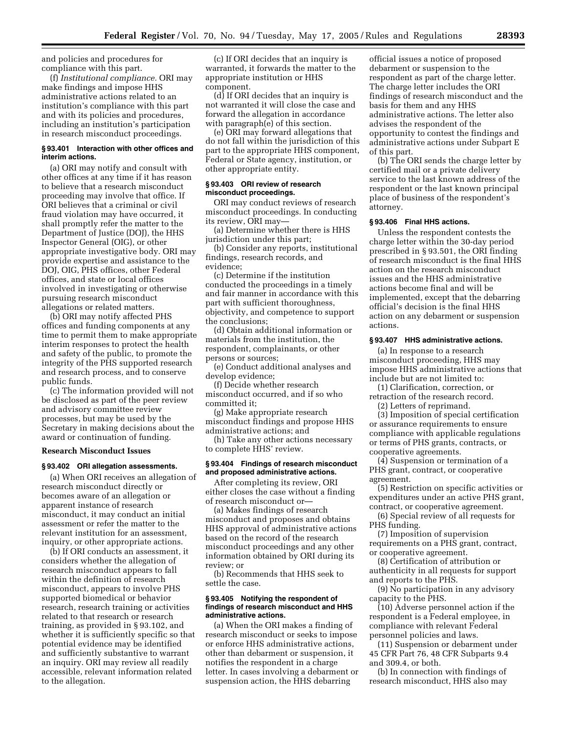and policies and procedures for compliance with this part.

(f) *Institutional compliance.* ORI may make findings and impose HHS administrative actions related to an institution's compliance with this part and with its policies and procedures, including an institution's participation in research misconduct proceedings.

# **§ 93.401 Interaction with other offices and interim actions.**

(a) ORI may notify and consult with other offices at any time if it has reason to believe that a research misconduct proceeding may involve that office. If ORI believes that a criminal or civil fraud violation may have occurred, it shall promptly refer the matter to the Department of Justice (DOJ), the HHS Inspector General (OIG), or other appropriate investigative body. ORI may provide expertise and assistance to the DOJ, OIG, PHS offices, other Federal offices, and state or local offices involved in investigating or otherwise pursuing research misconduct allegations or related matters.

(b) ORI may notify affected PHS offices and funding components at any time to permit them to make appropriate interim responses to protect the health and safety of the public, to promote the integrity of the PHS supported research and research process, and to conserve public funds.

(c) The information provided will not be disclosed as part of the peer review and advisory committee review processes, but may be used by the Secretary in making decisions about the award or continuation of funding.

#### **Research Misconduct Issues**

#### **§ 93.402 ORI allegation assessments.**

(a) When ORI receives an allegation of research misconduct directly or becomes aware of an allegation or apparent instance of research misconduct, it may conduct an initial assessment or refer the matter to the relevant institution for an assessment, inquiry, or other appropriate actions.

(b) If ORI conducts an assessment, it considers whether the allegation of research misconduct appears to fall within the definition of research misconduct, appears to involve PHS supported biomedical or behavior research, research training or activities related to that research or research training, as provided in § 93.102, and whether it is sufficiently specific so that potential evidence may be identified and sufficiently substantive to warrant an inquiry. ORI may review all readily accessible, relevant information related to the allegation.

(c) If ORI decides that an inquiry is warranted, it forwards the matter to the appropriate institution or HHS component.

(d) If ORI decides that an inquiry is not warranted it will close the case and forward the allegation in accordance with paragraph(e) of this section.

(e) ORI may forward allegations that do not fall within the jurisdiction of this part to the appropriate HHS component, Federal or State agency, institution, or other appropriate entity.

#### **§ 93.403 ORI review of research misconduct proceedings.**

ORI may conduct reviews of research misconduct proceedings. In conducting its review, ORI may—

(a) Determine whether there is HHS jurisdiction under this part;

(b) Consider any reports, institutional findings, research records, and evidence;

(c) Determine if the institution conducted the proceedings in a timely and fair manner in accordance with this part with sufficient thoroughness, objectivity, and competence to support the conclusions;

(d) Obtain additional information or materials from the institution, the respondent, complainants, or other persons or sources;

(e) Conduct additional analyses and develop evidence;

(f) Decide whether research misconduct occurred, and if so who committed it;

(g) Make appropriate research misconduct findings and propose HHS administrative actions; and

(h) Take any other actions necessary to complete HHS' review.

#### **§ 93.404 Findings of research misconduct and proposed administrative actions.**

After completing its review, ORI either closes the case without a finding of research misconduct or—

(a) Makes findings of research misconduct and proposes and obtains HHS approval of administrative actions based on the record of the research misconduct proceedings and any other information obtained by ORI during its review; or

(b) Recommends that HHS seek to settle the case.

#### **§ 93.405 Notifying the respondent of findings of research misconduct and HHS administrative actions.**

(a) When the ORI makes a finding of research misconduct or seeks to impose or enforce HHS administrative actions, other than debarment or suspension, it notifies the respondent in a charge letter. In cases involving a debarment or suspension action, the HHS debarring

official issues a notice of proposed debarment or suspension to the respondent as part of the charge letter. The charge letter includes the ORI findings of research misconduct and the basis for them and any HHS administrative actions. The letter also advises the respondent of the opportunity to contest the findings and administrative actions under Subpart E of this part.

(b) The ORI sends the charge letter by certified mail or a private delivery service to the last known address of the respondent or the last known principal place of business of the respondent's attorney.

#### **§ 93.406 Final HHS actions.**

Unless the respondent contests the charge letter within the 30-day period prescribed in § 93.501, the ORI finding of research misconduct is the final HHS action on the research misconduct issues and the HHS administrative actions become final and will be implemented, except that the debarring official's decision is the final HHS action on any debarment or suspension actions.

# **§ 93.407 HHS administrative actions.**

(a) In response to a research misconduct proceeding, HHS may impose HHS administrative actions that include but are not limited to:

(1) Clarification, correction, or retraction of the research record. (2) Letters of reprimand.

(3) Imposition of special certification or assurance requirements to ensure compliance with applicable regulations or terms of PHS grants, contracts, or cooperative agreements.

(4) Suspension or termination of a PHS grant, contract, or cooperative agreement.

(5) Restriction on specific activities or expenditures under an active PHS grant, contract, or cooperative agreement.

(6) Special review of all requests for PHS funding.

(7) Imposition of supervision requirements on a PHS grant, contract, or cooperative agreement.

(8) Certification of attribution or authenticity in all requests for support and reports to the PHS.

(9) No participation in any advisory capacity to the PHS.

(10) Adverse personnel action if the respondent is a Federal employee, in compliance with relevant Federal personnel policies and laws.

(11) Suspension or debarment under 45 CFR Part 76, 48 CFR Subparts 9.4 and 309.4, or both.

(b) In connection with findings of research misconduct, HHS also may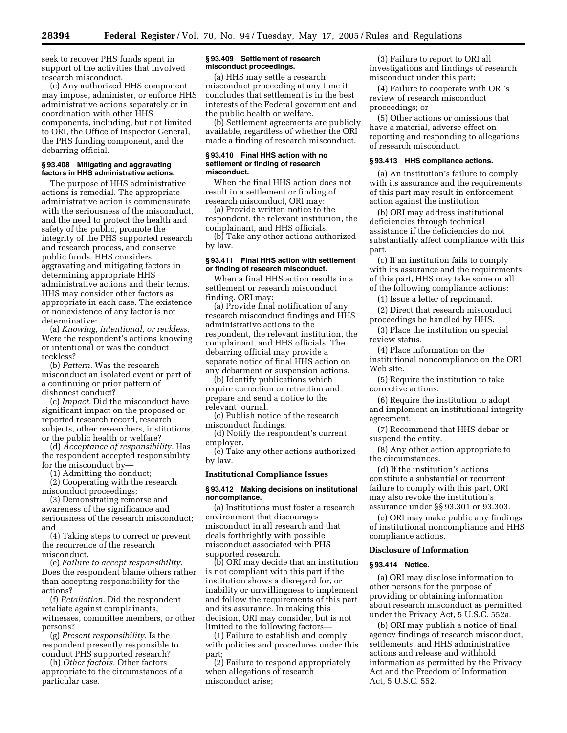seek to recover PHS funds spent in support of the activities that involved research misconduct.

(c) Any authorized HHS component may impose, administer, or enforce HHS administrative actions separately or in coordination with other HHS components, including, but not limited to ORI, the Office of Inspector General, the PHS funding component, and the debarring official.

## **§ 93.408 Mitigating and aggravating factors in HHS administrative actions.**

The purpose of HHS administrative actions is remedial. The appropriate administrative action is commensurate with the seriousness of the misconduct, and the need to protect the health and safety of the public, promote the integrity of the PHS supported research and research process, and conserve public funds. HHS considers aggravating and mitigating factors in determining appropriate HHS administrative actions and their terms. HHS may consider other factors as appropriate in each case. The existence or nonexistence of any factor is not determinative:

(a) *Knowing, intentional, or reckless.*  Were the respondent's actions knowing or intentional or was the conduct reckless?

(b) *Pattern.* Was the research misconduct an isolated event or part of a continuing or prior pattern of dishonest conduct?

(c) *Impact.* Did the misconduct have significant impact on the proposed or reported research record, research subjects, other researchers, institutions, or the public health or welfare?

(d) *Acceptance of responsibility.* Has the respondent accepted responsibility for the misconduct by—

(1) Admitting the conduct;

(2) Cooperating with the research misconduct proceedings;

(3) Demonstrating remorse and awareness of the significance and seriousness of the research misconduct; and

(4) Taking steps to correct or prevent the recurrence of the research misconduct.

(e) *Failure to accept responsibility.*  Does the respondent blame others rather than accepting responsibility for the actions?

(f) *Retaliation.* Did the respondent retaliate against complainants, witnesses, committee members, or other persons?

(g) *Present responsibility.* Is the respondent presently responsible to conduct PHS supported research?

(h) *Other factors.* Other factors appropriate to the circumstances of a particular case.

#### **§ 93.409 Settlement of research misconduct proceedings.**

(a) HHS may settle a research misconduct proceeding at any time it concludes that settlement is in the best interests of the Federal government and the public health or welfare.

(b) Settlement agreements are publicly available, regardless of whether the ORI made a finding of research misconduct.

#### **§ 93.410 Final HHS action with no settlement or finding of research misconduct.**

When the final HHS action does not result in a settlement or finding of research misconduct, ORI may:

(a) Provide written notice to the respondent, the relevant institution, the complainant, and HHS officials.

(b) Take any other actions authorized by law.

#### **§ 93.411 Final HHS action with settlement or finding of research misconduct.**

When a final HHS action results in a settlement or research misconduct finding, ORI may:

(a) Provide final notification of any research misconduct findings and HHS administrative actions to the respondent, the relevant institution, the complainant, and HHS officials. The debarring official may provide a separate notice of final HHS action on any debarment or suspension actions.

(b) Identify publications which require correction or retraction and prepare and send a notice to the relevant journal.

(c) Publish notice of the research misconduct findings.

(d) Notify the respondent's current employer.

(e) Take any other actions authorized by law.

#### **Institutional Compliance Issues**

#### **§ 93.412 Making decisions on institutional noncompliance.**

(a) Institutions must foster a research environment that discourages misconduct in all research and that deals forthrightly with possible misconduct associated with PHS supported research.

(b) ORI may decide that an institution is not compliant with this part if the institution shows a disregard for, or inability or unwillingness to implement and follow the requirements of this part and its assurance. In making this decision, ORI may consider, but is not limited to the following factors—

(1) Failure to establish and comply with policies and procedures under this part;

(2) Failure to respond appropriately when allegations of research misconduct arise;

(3) Failure to report to ORI all investigations and findings of research misconduct under this part;

(4) Failure to cooperate with ORI's review of research misconduct proceedings; or

(5) Other actions or omissions that have a material, adverse effect on reporting and responding to allegations of research misconduct.

# **§ 93.413 HHS compliance actions.**

(a) An institution's failure to comply with its assurance and the requirements of this part may result in enforcement action against the institution.

(b) ORI may address institutional deficiencies through technical assistance if the deficiencies do not substantially affect compliance with this part.

(c) If an institution fails to comply with its assurance and the requirements of this part, HHS may take some or all of the following compliance actions:

(1) Issue a letter of reprimand.

(2) Direct that research misconduct proceedings be handled by HHS.

(3) Place the institution on special review status.

(4) Place information on the institutional noncompliance on the ORI Web site.

(5) Require the institution to take corrective actions.

(6) Require the institution to adopt and implement an institutional integrity agreement.

(7) Recommend that HHS debar or suspend the entity.

(8) Any other action appropriate to the circumstances.

(d) If the institution's actions constitute a substantial or recurrent failure to comply with this part, ORI may also revoke the institution's assurance under §§ 93.301 or 93.303.

(e) ORI may make public any findings of institutional noncompliance and HHS compliance actions.

#### **Disclosure of Information**

# **§ 93.414 Notice.**

(a) ORI may disclose information to other persons for the purpose of providing or obtaining information about research misconduct as permitted under the Privacy Act, 5 U.S.C. 552a.

(b) ORI may publish a notice of final agency findings of research misconduct, settlements, and HHS administrative actions and release and withhold information as permitted by the Privacy Act and the Freedom of Information Act, 5 U.S.C. 552.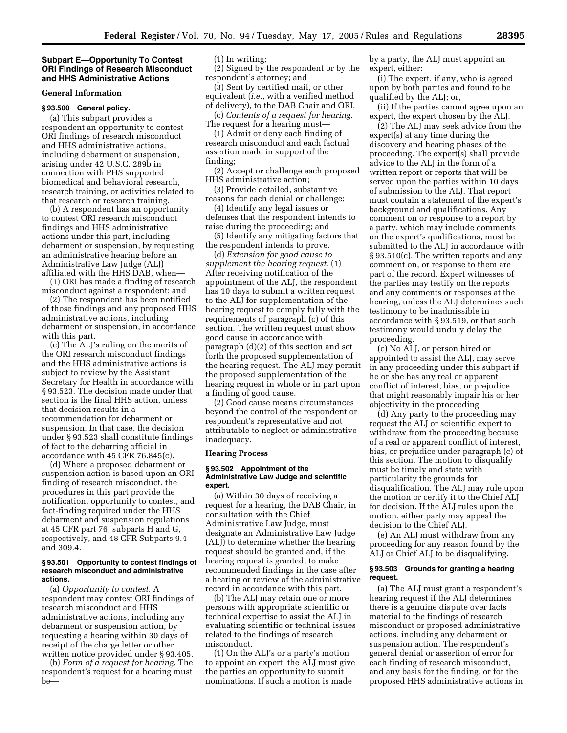#### **Subpart E—Opportunity To Contest ORI Findings of Research Misconduct and HHS Administrative Actions**

#### **General Information**

# **§ 93.500 General policy.**

(a) This subpart provides a respondent an opportunity to contest ORI findings of research misconduct and HHS administrative actions, including debarment or suspension, arising under 42 U.S.C. 289b in connection with PHS supported biomedical and behavioral research, research training, or activities related to that research or research training.

(b) A respondent has an opportunity to contest ORI research misconduct findings and HHS administrative actions under this part, including debarment or suspension, by requesting an administrative hearing before an Administrative Law Judge (ALJ) affiliated with the HHS DAB, when—

(1) ORI has made a finding of research misconduct against a respondent; and

(2) The respondent has been notified of those findings and any proposed HHS administrative actions, including debarment or suspension, in accordance with this part.

(c) The ALJ's ruling on the merits of the ORI research misconduct findings and the HHS administrative actions is subject to review by the Assistant Secretary for Health in accordance with § 93.523. The decision made under that section is the final HHS action, unless that decision results in a recommendation for debarment or suspension. In that case, the decision under § 93.523 shall constitute findings of fact to the debarring official in accordance with 45 CFR 76.845(c).

(d) Where a proposed debarment or suspension action is based upon an ORI finding of research misconduct, the procedures in this part provide the notification, opportunity to contest, and fact-finding required under the HHS debarment and suspension regulations at 45 CFR part 76, subparts H and G, respectively, and 48 CFR Subparts 9.4 and 309.4.

#### **§ 93.501 Opportunity to contest findings of research misconduct and administrative actions.**

(a) *Opportunity to contest*. A respondent may contest ORI findings of research misconduct and HHS administrative actions, including any debarment or suspension action, by requesting a hearing within 30 days of receipt of the charge letter or other written notice provided under § 93.405.

(b) *Form of a request for hearing*. The respondent's request for a hearing must be(1) In writing;

(2) Signed by the respondent or by the respondent's attorney; and

(3) Sent by certified mail, or other equivalent (*i.e.*, with a verified method of delivery), to the DAB Chair and ORI.

(c) *Contents of a request for hearing*. The request for a hearing must—

(1) Admit or deny each finding of research misconduct and each factual assertion made in support of the finding;

(2) Accept or challenge each proposed HHS administrative action;

(3) Provide detailed, substantive reasons for each denial or challenge;

(4) Identify any legal issues or defenses that the respondent intends to raise during the proceeding; and

(5) Identify any mitigating factors that the respondent intends to prove.

(d) *Extension for good cause to supplement the hearing request*. (1) After receiving notification of the appointment of the ALJ, the respondent has 10 days to submit a written request to the ALJ for supplementation of the hearing request to comply fully with the requirements of paragraph (c) of this section. The written request must show good cause in accordance with paragraph (d)(2) of this section and set forth the proposed supplementation of the hearing request. The ALJ may permit the proposed supplementation of the hearing request in whole or in part upon a finding of good cause.

(2) Good cause means circumstances beyond the control of the respondent or respondent's representative and not attributable to neglect or administrative inadequacy.

#### **Hearing Process**

#### **§ 93.502 Appointment of the Administrative Law Judge and scientific expert.**

(a) Within 30 days of receiving a request for a hearing, the DAB Chair, in consultation with the Chief Administrative Law Judge, must designate an Administrative Law Judge (ALJ) to determine whether the hearing request should be granted and, if the hearing request is granted, to make recommended findings in the case after a hearing or review of the administrative record in accordance with this part.

(b) The ALJ may retain one or more persons with appropriate scientific or technical expertise to assist the ALJ in evaluating scientific or technical issues related to the findings of research misconduct.

(1) On the ALJ's or a party's motion to appoint an expert, the ALJ must give the parties an opportunity to submit nominations. If such a motion is made

by a party, the ALJ must appoint an expert, either:

(i) The expert, if any, who is agreed upon by both parties and found to be qualified by the ALJ; or,

(ii) If the parties cannot agree upon an expert, the expert chosen by the ALJ.

(2) The ALJ may seek advice from the expert(s) at any time during the discovery and hearing phases of the proceeding. The expert(s) shall provide advice to the ALJ in the form of a written report or reports that will be served upon the parties within 10 days of submission to the ALJ. That report must contain a statement of the expert's background and qualifications. Any comment on or response to a report by a party, which may include comments on the expert's qualifications, must be submitted to the ALJ in accordance with § 93.510(c). The written reports and any comment on, or response to them are part of the record. Expert witnesses of the parties may testify on the reports and any comments or responses at the hearing, unless the ALJ determines such testimony to be inadmissible in accordance with § 93.519, or that such testimony would unduly delay the proceeding.

(c) No ALJ, or person hired or appointed to assist the ALJ, may serve in any proceeding under this subpart if he or she has any real or apparent conflict of interest, bias, or prejudice that might reasonably impair his or her objectivity in the proceeding.

(d) Any party to the proceeding may request the ALJ or scientific expert to withdraw from the proceeding because of a real or apparent conflict of interest, bias, or prejudice under paragraph (c) of this section. The motion to disqualify must be timely and state with particularity the grounds for disqualification. The ALJ may rule upon the motion or certify it to the Chief ALJ for decision. If the ALJ rules upon the motion, either party may appeal the decision to the Chief ALJ.

(e) An ALJ must withdraw from any proceeding for any reason found by the ALJ or Chief ALJ to be disqualifying.

#### **§ 93.503 Grounds for granting a hearing request.**

(a) The ALJ must grant a respondent's hearing request if the ALJ determines there is a genuine dispute over facts material to the findings of research misconduct or proposed administrative actions, including any debarment or suspension action. The respondent's general denial or assertion of error for each finding of research misconduct, and any basis for the finding, or for the proposed HHS administrative actions in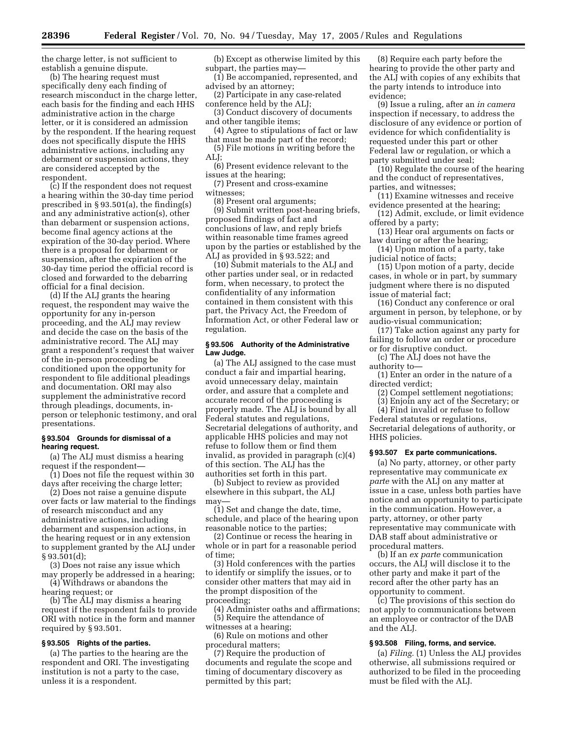the charge letter, is not sufficient to establish a genuine dispute.

(b) The hearing request must specifically deny each finding of research misconduct in the charge letter, each basis for the finding and each HHS administrative action in the charge letter, or it is considered an admission by the respondent. If the hearing request does not specifically dispute the HHS administrative actions, including any debarment or suspension actions, they are considered accepted by the respondent.

(c) If the respondent does not request a hearing within the 30-day time period prescribed in § 93.501(a), the finding(s) and any administrative action(s), other than debarment or suspension actions, become final agency actions at the expiration of the 30-day period. Where there is a proposal for debarment or suspension, after the expiration of the 30-day time period the official record is closed and forwarded to the debarring official for a final decision.

(d) If the ALJ grants the hearing request, the respondent may waive the opportunity for any in-person proceeding, and the ALJ may review and decide the case on the basis of the administrative record. The ALJ may grant a respondent's request that waiver of the in-person proceeding be conditioned upon the opportunity for respondent to file additional pleadings and documentation. ORI may also supplement the administrative record through pleadings, documents, inperson or telephonic testimony, and oral presentations.

#### **§ 93.504 Grounds for dismissal of a hearing request.**

(a) The ALJ must dismiss a hearing request if the respondent—

(1) Does not file the request within 30 days after receiving the charge letter;

(2) Does not raise a genuine dispute over facts or law material to the findings of research misconduct and any administrative actions, including debarment and suspension actions, in the hearing request or in any extension to supplement granted by the ALJ under  $§ 93.501(d);$ 

(3) Does not raise any issue which may properly be addressed in a hearing; (4) Withdraws or abandons the

hearing request; or

(b) The ALJ may dismiss a hearing request if the respondent fails to provide ORI with notice in the form and manner required by § 93.501.

# **§ 93.505 Rights of the parties.**

(a) The parties to the hearing are the respondent and ORI. The investigating institution is not a party to the case, unless it is a respondent.

(b) Except as otherwise limited by this subpart, the parties may—

(1) Be accompanied, represented, and advised by an attorney;

(2) Participate in any case-related conference held by the ALJ;

(3) Conduct discovery of documents and other tangible items;

(4) Agree to stipulations of fact or law that must be made part of the record;

(5) File motions in writing before the ALJ;

(6) Present evidence relevant to the issues at the hearing;

(7) Present and cross-examine witnesses;

(8) Present oral arguments;

(9) Submit written post-hearing briefs, proposed findings of fact and conclusions of law, and reply briefs within reasonable time frames agreed upon by the parties or established by the ALJ as provided in § 93.522; and

(10) Submit materials to the ALJ and other parties under seal, or in redacted form, when necessary, to protect the confidentiality of any information contained in them consistent with this part, the Privacy Act, the Freedom of Information Act, or other Federal law or regulation.

## **§ 93.506 Authority of the Administrative Law Judge.**

(a) The ALJ assigned to the case must conduct a fair and impartial hearing, avoid unnecessary delay, maintain order, and assure that a complete and accurate record of the proceeding is properly made. The ALJ is bound by all Federal statutes and regulations, Secretarial delegations of authority, and applicable HHS policies and may not refuse to follow them or find them invalid, as provided in paragraph (c)(4) of this section. The ALJ has the authorities set forth in this part.

(b) Subject to review as provided elsewhere in this subpart, the ALJ may—

(1) Set and change the date, time, schedule, and place of the hearing upon reasonable notice to the parties;

(2) Continue or recess the hearing in whole or in part for a reasonable period of time;

(3) Hold conferences with the parties to identify or simplify the issues, or to consider other matters that may aid in the prompt disposition of the proceeding;

(4) Administer oaths and affirmations; (5) Require the attendance of

witnesses at a hearing; (6) Rule on motions and other

procedural matters; (7) Require the production of

documents and regulate the scope and timing of documentary discovery as permitted by this part;

(8) Require each party before the hearing to provide the other party and the ALJ with copies of any exhibits that the party intends to introduce into evidence;

(9) Issue a ruling, after an *in camera*  inspection if necessary, to address the disclosure of any evidence or portion of evidence for which confidentiality is requested under this part or other Federal law or regulation, or which a party submitted under seal;

(10) Regulate the course of the hearing and the conduct of representatives, parties, and witnesses;

(11) Examine witnesses and receive evidence presented at the hearing;

(12) Admit, exclude, or limit evidence offered by a party;

(13) Hear oral arguments on facts or law during or after the hearing;

(14) Upon motion of a party, take judicial notice of facts;

(15) Upon motion of a party, decide cases, in whole or in part, by summary judgment where there is no disputed issue of material fact;

(16) Conduct any conference or oral argument in person, by telephone, or by audio-visual communication;

(17) Take action against any party for failing to follow an order or procedure or for disruptive conduct.

(c) The ALJ does not have the authority to—

(1) Enter an order in the nature of a directed verdict;

- (2) Compel settlement negotiations;
- (3) Enjoin any act of the Secretary; or
- (4) Find invalid or refuse to follow

Federal statutes or regulations, Secretarial delegations of authority, or HHS policies.

# **§ 93.507 Ex parte communications.**

(a) No party, attorney, or other party representative may communicate *ex parte* with the ALJ on any matter at issue in a case, unless both parties have notice and an opportunity to participate in the communication. However, a party, attorney, or other party representative may communicate with DAB staff about administrative or procedural matters.

(b) If an *ex parte* communication occurs, the ALJ will disclose it to the other party and make it part of the record after the other party has an opportunity to comment.

(c) The provisions of this section do not apply to communications between an employee or contractor of the DAB and the ALJ.

# **§ 93.508 Filing, forms, and service.**

(a) *Filing.* (1) Unless the ALJ provides otherwise, all submissions required or authorized to be filed in the proceeding must be filed with the ALJ.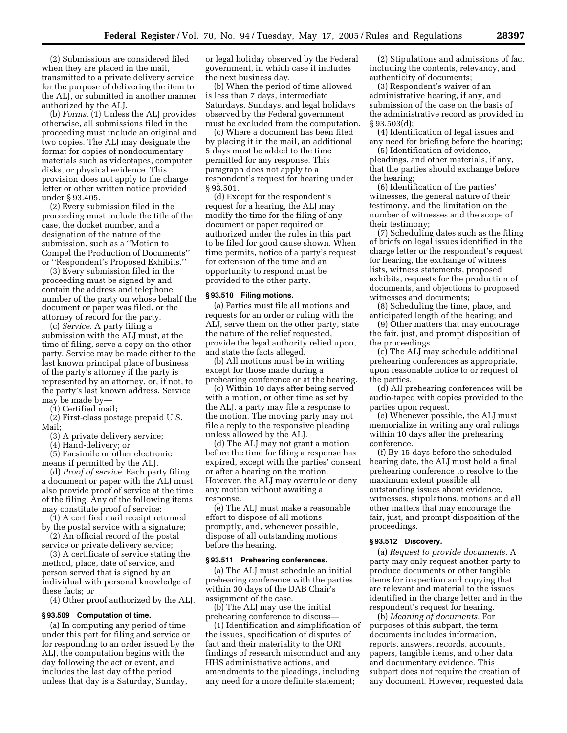(2) Submissions are considered filed when they are placed in the mail, transmitted to a private delivery service for the purpose of delivering the item to the ALJ, or submitted in another manner authorized by the ALJ.

(b) *Forms.* (1) Unless the ALJ provides otherwise, all submissions filed in the proceeding must include an original and two copies. The ALJ may designate the format for copies of nondocumentary materials such as videotapes, computer disks, or physical evidence. This provision does not apply to the charge letter or other written notice provided under § 93.405.

(2) Every submission filed in the proceeding must include the title of the case, the docket number, and a designation of the nature of the submission, such as a ''Motion to Compel the Production of Documents'' or ''Respondent's Proposed Exhibits.''

(3) Every submission filed in the proceeding must be signed by and contain the address and telephone number of the party on whose behalf the document or paper was filed, or the attorney of record for the party.

(c) *Service.* A party filing a submission with the ALJ must, at the time of filing, serve a copy on the other party. Service may be made either to the last known principal place of business of the party's attorney if the party is represented by an attorney, or, if not, to the party's last known address. Service may be made by—

(1) Certified mail;

(2) First-class postage prepaid U.S. Mail;

(3) A private delivery service;

(4) Hand-delivery; or

(5) Facsimile or other electronic means if permitted by the ALJ.

(d) *Proof of service.* Each party filing a document or paper with the ALJ must also provide proof of service at the time of the filing. Any of the following items may constitute proof of service:

(1) A certified mail receipt returned by the postal service with a signature;

(2) An official record of the postal service or private delivery service;

(3) A certificate of service stating the method, place, date of service, and person served that is signed by an individual with personal knowledge of these facts; or

(4) Other proof authorized by the ALJ.

#### **§ 93.509 Computation of time.**

(a) In computing any period of time under this part for filing and service or for responding to an order issued by the ALJ, the computation begins with the day following the act or event, and includes the last day of the period unless that day is a Saturday, Sunday,

or legal holiday observed by the Federal government, in which case it includes the next business day.

(b) When the period of time allowed is less than 7 days, intermediate Saturdays, Sundays, and legal holidays observed by the Federal government must be excluded from the computation.

(c) Where a document has been filed by placing it in the mail, an additional 5 days must be added to the time permitted for any response. This paragraph does not apply to a respondent's request for hearing under § 93.501.

(d) Except for the respondent's request for a hearing, the ALJ may modify the time for the filing of any document or paper required or authorized under the rules in this part to be filed for good cause shown. When time permits, notice of a party's request for extension of the time and an opportunity to respond must be provided to the other party.

## **§ 93.510 Filing motions.**

(a) Parties must file all motions and requests for an order or ruling with the ALJ, serve them on the other party, state the nature of the relief requested, provide the legal authority relied upon, and state the facts alleged.

(b) All motions must be in writing except for those made during a prehearing conference or at the hearing.

(c) Within 10 days after being served with a motion, or other time as set by the ALJ, a party may file a response to the motion. The moving party may not file a reply to the responsive pleading unless allowed by the ALJ.

(d) The ALJ may not grant a motion before the time for filing a response has expired, except with the parties' consent or after a hearing on the motion. However, the ALJ may overrule or deny any motion without awaiting a response.

(e) The ALJ must make a reasonable effort to dispose of all motions promptly, and, whenever possible, dispose of all outstanding motions before the hearing.

# **§ 93.511 Prehearing conferences.**

(a) The ALJ must schedule an initial prehearing conference with the parties within 30 days of the DAB Chair's assignment of the case.

(b) The ALJ may use the initial prehearing conference to discuss—

(1) Identification and simplification of the issues, specification of disputes of fact and their materiality to the ORI findings of research misconduct and any HHS administrative actions, and amendments to the pleadings, including any need for a more definite statement;

(2) Stipulations and admissions of fact including the contents, relevancy, and authenticity of documents;

(3) Respondent's waiver of an administrative hearing, if any, and submission of the case on the basis of the administrative record as provided in § 93.503(d);

(4) Identification of legal issues and any need for briefing before the hearing;

(5) Identification of evidence, pleadings, and other materials, if any, that the parties should exchange before the hearing;

(6) Identification of the parties' witnesses, the general nature of their testimony, and the limitation on the number of witnesses and the scope of their testimony;

(7) Scheduling dates such as the filing of briefs on legal issues identified in the charge letter or the respondent's request for hearing, the exchange of witness lists, witness statements, proposed exhibits, requests for the production of documents, and objections to proposed witnesses and documents;

(8) Scheduling the time, place, and anticipated length of the hearing; and

(9) Other matters that may encourage the fair, just, and prompt disposition of the proceedings.

(c) The ALJ may schedule additional prehearing conferences as appropriate, upon reasonable notice to or request of the parties.

(d) All prehearing conferences will be audio-taped with copies provided to the parties upon request.

(e) Whenever possible, the ALJ must memorialize in writing any oral rulings within 10 days after the prehearing conference.

(f) By 15 days before the scheduled hearing date, the ALJ must hold a final prehearing conference to resolve to the maximum extent possible all outstanding issues about evidence, witnesses, stipulations, motions and all other matters that may encourage the fair, just, and prompt disposition of the proceedings.

#### **§ 93.512 Discovery.**

(a) *Request to provide documents.* A party may only request another party to produce documents or other tangible items for inspection and copying that are relevant and material to the issues identified in the charge letter and in the respondent's request for hearing.

(b) *Meaning of documents.* For purposes of this subpart, the term documents includes information, reports, answers, records, accounts, papers, tangible items, and other data and documentary evidence. This subpart does not require the creation of any document. However, requested data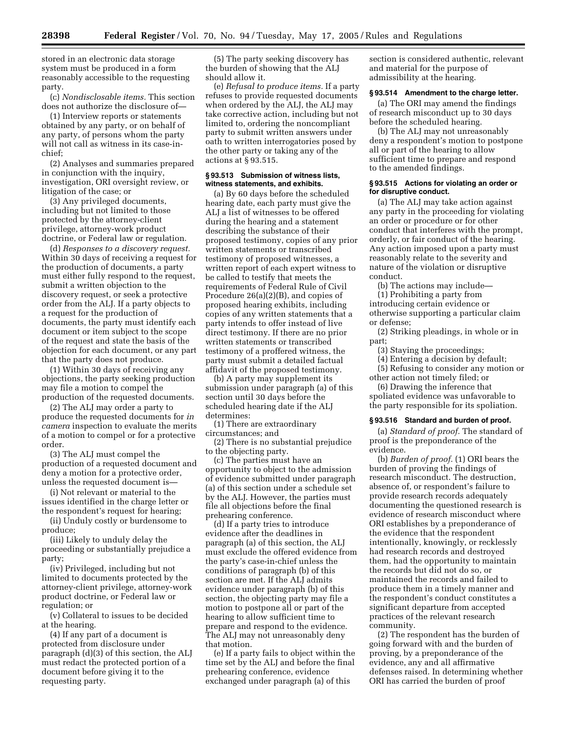stored in an electronic data storage system must be produced in a form reasonably accessible to the requesting party.

(c) *Nondisclosable items.* This section does not authorize the disclosure of—

(1) Interview reports or statements obtained by any party, or on behalf of any party, of persons whom the party will not call as witness in its case-inchief;

(2) Analyses and summaries prepared in conjunction with the inquiry, investigation, ORI oversight review, or litigation of the case; or

(3) Any privileged documents, including but not limited to those protected by the attorney-client privilege, attorney-work product doctrine, or Federal law or regulation.

(d) *Responses to a discovery request.*  Within 30 days of receiving a request for the production of documents, a party must either fully respond to the request, submit a written objection to the discovery request, or seek a protective order from the ALJ. If a party objects to a request for the production of documents, the party must identify each document or item subject to the scope of the request and state the basis of the objection for each document, or any part that the party does not produce.

(1) Within 30 days of receiving any objections, the party seeking production may file a motion to compel the production of the requested documents.

(2) The ALJ may order a party to produce the requested documents for *in camera* inspection to evaluate the merits of a motion to compel or for a protective order.

(3) The ALJ must compel the production of a requested document and deny a motion for a protective order, unless the requested document is—

(i) Not relevant or material to the issues identified in the charge letter or the respondent's request for hearing;

(ii) Unduly costly or burdensome to produce;

(iii) Likely to unduly delay the proceeding or substantially prejudice a party;

(iv) Privileged, including but not limited to documents protected by the attorney-client privilege, attorney-work product doctrine, or Federal law or regulation; or

(v) Collateral to issues to be decided at the hearing.

(4) If any part of a document is protected from disclosure under paragraph (d)(3) of this section, the ALJ must redact the protected portion of a document before giving it to the requesting party.

(5) The party seeking discovery has the burden of showing that the ALJ should allow it.

(e) *Refusal to produce items.* If a party refuses to provide requested documents when ordered by the ALJ, the ALJ may take corrective action, including but not limited to, ordering the noncompliant party to submit written answers under oath to written interrogatories posed by the other party or taking any of the actions at § 93.515.

#### **§ 93.513 Submission of witness lists, witness statements, and exhibits.**

(a) By 60 days before the scheduled hearing date, each party must give the ALJ a list of witnesses to be offered during the hearing and a statement describing the substance of their proposed testimony, copies of any prior written statements or transcribed testimony of proposed witnesses, a written report of each expert witness to be called to testify that meets the requirements of Federal Rule of Civil Procedure 26(a)(2)(B), and copies of proposed hearing exhibits, including copies of any written statements that a party intends to offer instead of live direct testimony. If there are no prior written statements or transcribed testimony of a proffered witness, the party must submit a detailed factual affidavit of the proposed testimony.

(b) A party may supplement its submission under paragraph (a) of this section until 30 days before the scheduled hearing date if the ALJ determines:

(1) There are extraordinary circumstances; and

(2) There is no substantial prejudice to the objecting party.

(c) The parties must have an opportunity to object to the admission of evidence submitted under paragraph (a) of this section under a schedule set by the ALJ. However, the parties must file all objections before the final prehearing conference.

(d) If a party tries to introduce evidence after the deadlines in paragraph (a) of this section, the ALJ must exclude the offered evidence from the party's case-in-chief unless the conditions of paragraph (b) of this section are met. If the ALJ admits evidence under paragraph (b) of this section, the objecting party may file a motion to postpone all or part of the hearing to allow sufficient time to prepare and respond to the evidence. The ALJ may not unreasonably deny that motion.

(e) If a party fails to object within the time set by the ALJ and before the final prehearing conference, evidence exchanged under paragraph (a) of this

section is considered authentic, relevant and material for the purpose of admissibility at the hearing.

#### **§ 93.514 Amendment to the charge letter.**

(a) The ORI may amend the findings of research misconduct up to 30 days before the scheduled hearing.

(b) The ALJ may not unreasonably deny a respondent's motion to postpone all or part of the hearing to allow sufficient time to prepare and respond to the amended findings.

#### **§ 93.515 Actions for violating an order or for disruptive conduct.**

(a) The ALJ may take action against any party in the proceeding for violating an order or procedure or for other conduct that interferes with the prompt, orderly, or fair conduct of the hearing. Any action imposed upon a party must reasonably relate to the severity and nature of the violation or disruptive conduct.

(b) The actions may include—

(1) Prohibiting a party from introducing certain evidence or otherwise supporting a particular claim or defense;

(2) Striking pleadings, in whole or in part;

(3) Staying the proceedings;

(4) Entering a decision by default;

(5) Refusing to consider any motion or other action not timely filed; or

(6) Drawing the inference that spoliated evidence was unfavorable to the party responsible for its spoliation.

#### **§ 93.516 Standard and burden of proof.**

(a) *Standard of proof.* The standard of proof is the preponderance of the evidence.

(b) *Burden of proof.* (1) ORI bears the burden of proving the findings of research misconduct. The destruction, absence of, or respondent's failure to provide research records adequately documenting the questioned research is evidence of research misconduct where ORI establishes by a preponderance of the evidence that the respondent intentionally, knowingly, or recklessly had research records and destroyed them, had the opportunity to maintain the records but did not do so, or maintained the records and failed to produce them in a timely manner and the respondent's conduct constitutes a significant departure from accepted practices of the relevant research community.

(2) The respondent has the burden of going forward with and the burden of proving, by a preponderance of the evidence, any and all affirmative defenses raised. In determining whether ORI has carried the burden of proof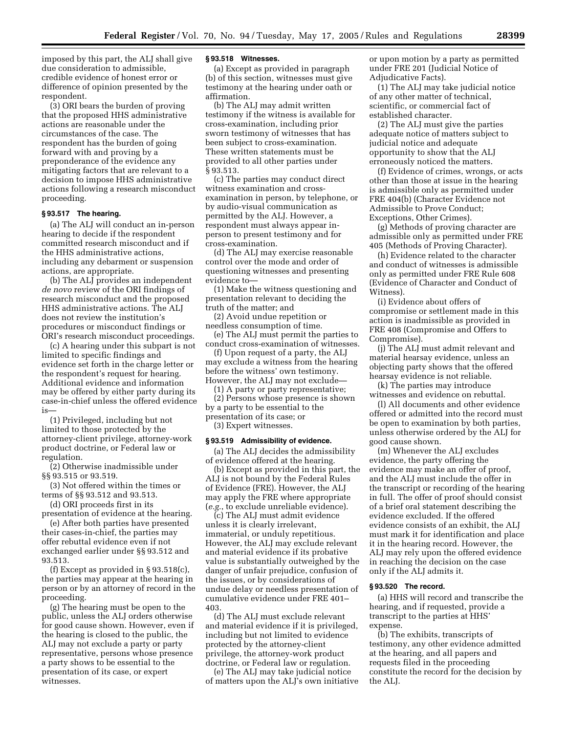imposed by this part, the ALJ shall give due consideration to admissible, credible evidence of honest error or difference of opinion presented by the respondent.

(3) ORI bears the burden of proving that the proposed HHS administrative actions are reasonable under the circumstances of the case. The respondent has the burden of going forward with and proving by a preponderance of the evidence any mitigating factors that are relevant to a decision to impose HHS administrative actions following a research misconduct proceeding.

# **§ 93.517 The hearing.**

(a) The ALJ will conduct an in-person hearing to decide if the respondent committed research misconduct and if the HHS administrative actions, including any debarment or suspension actions, are appropriate.

(b) The ALJ provides an independent *de novo* review of the ORI findings of research misconduct and the proposed HHS administrative actions. The ALJ does not review the institution's procedures or misconduct findings or ORI's research misconduct proceedings.

(c) A hearing under this subpart is not limited to specific findings and evidence set forth in the charge letter or the respondent's request for hearing. Additional evidence and information may be offered by either party during its case-in-chief unless the offered evidence is—

(1) Privileged, including but not limited to those protected by the attorney-client privilege, attorney-work product doctrine, or Federal law or regulation.

(2) Otherwise inadmissible under §§ 93.515 or 93.519.

(3) Not offered within the times or terms of §§ 93.512 and 93.513.

(d) ORI proceeds first in its

presentation of evidence at the hearing. (e) After both parties have presented their cases-in-chief, the parties may offer rebuttal evidence even if not exchanged earlier under §§ 93.512 and 93.513.

(f) Except as provided in § 93.518(c), the parties may appear at the hearing in person or by an attorney of record in the proceeding.

(g) The hearing must be open to the public, unless the ALJ orders otherwise for good cause shown. However, even if the hearing is closed to the public, the ALJ may not exclude a party or party representative, persons whose presence a party shows to be essential to the presentation of its case, or expert witnesses.

## **§ 93.518 Witnesses.**

(a) Except as provided in paragraph (b) of this section, witnesses must give testimony at the hearing under oath or affirmation.

(b) The ALJ may admit written testimony if the witness is available for cross-examination, including prior sworn testimony of witnesses that has been subject to cross-examination. These written statements must be provided to all other parties under § 93.513.

(c) The parties may conduct direct witness examination and crossexamination in person, by telephone, or by audio-visual communication as permitted by the ALJ. However, a respondent must always appear inperson to present testimony and for cross-examination.

(d) The ALJ may exercise reasonable control over the mode and order of questioning witnesses and presenting evidence to—

(1) Make the witness questioning and presentation relevant to deciding the truth of the matter; and

(2) Avoid undue repetition or needless consumption of time.

(e) The ALJ must permit the parties to conduct cross-examination of witnesses.

(f) Upon request of a party, the ALJ may exclude a witness from the hearing before the witness' own testimony. However, the ALJ may not exclude—

(1) A party or party representative;

(2) Persons whose presence is shown by a party to be essential to the presentation of its case; or

(3) Expert witnesses.

# **§ 93.519 Admissibility of evidence.**

(a) The ALJ decides the admissibility of evidence offered at the hearing.

(b) Except as provided in this part, the ALJ is not bound by the Federal Rules of Evidence (FRE). However, the ALJ may apply the FRE where appropriate (*e.g.*, to exclude unreliable evidence).

(c) The ALJ must admit evidence unless it is clearly irrelevant, immaterial, or unduly repetitious. However, the ALJ may exclude relevant and material evidence if its probative value is substantially outweighed by the danger of unfair prejudice, confusion of the issues, or by considerations of undue delay or needless presentation of cumulative evidence under FRE 401– 403.

(d) The ALJ must exclude relevant and material evidence if it is privileged, including but not limited to evidence protected by the attorney-client privilege, the attorney-work product doctrine, or Federal law or regulation.

(e) The ALJ may take judicial notice of matters upon the ALJ's own initiative or upon motion by a party as permitted under FRE 201 (Judicial Notice of Adjudicative Facts).

(1) The ALJ may take judicial notice of any other matter of technical, scientific, or commercial fact of established character.

(2) The ALJ must give the parties adequate notice of matters subject to judicial notice and adequate opportunity to show that the ALJ erroneously noticed the matters.

(f) Evidence of crimes, wrongs, or acts other than those at issue in the hearing is admissible only as permitted under FRE 404(b) (Character Evidence not Admissible to Prove Conduct; Exceptions, Other Crimes).

(g) Methods of proving character are admissible only as permitted under FRE 405 (Methods of Proving Character).

(h) Evidence related to the character and conduct of witnesses is admissible only as permitted under FRE Rule 608 (Evidence of Character and Conduct of Witness).

(i) Evidence about offers of compromise or settlement made in this action is inadmissible as provided in FRE 408 (Compromise and Offers to Compromise).

(j) The ALJ must admit relevant and material hearsay evidence, unless an objecting party shows that the offered hearsay evidence is not reliable.

(k) The parties may introduce witnesses and evidence on rebuttal.

(l) All documents and other evidence offered or admitted into the record must be open to examination by both parties, unless otherwise ordered by the ALJ for good cause shown.

(m) Whenever the ALJ excludes evidence, the party offering the evidence may make an offer of proof, and the ALJ must include the offer in the transcript or recording of the hearing in full. The offer of proof should consist of a brief oral statement describing the evidence excluded. If the offered evidence consists of an exhibit, the ALJ must mark it for identification and place it in the hearing record. However, the ALJ may rely upon the offered evidence in reaching the decision on the case only if the ALJ admits it.

#### **§ 93.520 The record.**

(a) HHS will record and transcribe the hearing, and if requested, provide a transcript to the parties at HHS' expense.

(b) The exhibits, transcripts of testimony, any other evidence admitted at the hearing, and all papers and requests filed in the proceeding constitute the record for the decision by the ALJ.